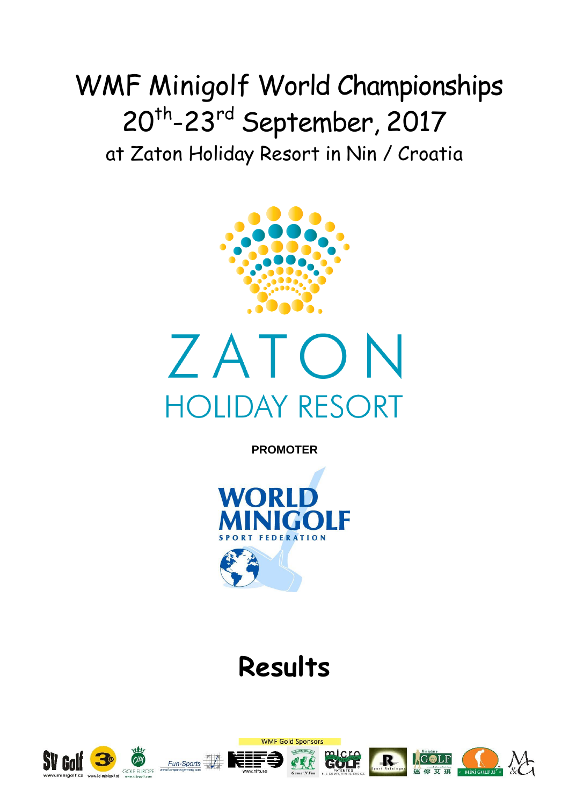# WMF Minigolf World Championships 20<sup>th</sup>-23<sup>rd</sup> September, 2017 at Zaton Holiday Resort in Nin / Croatia





**PROMOTER**



# **Results**

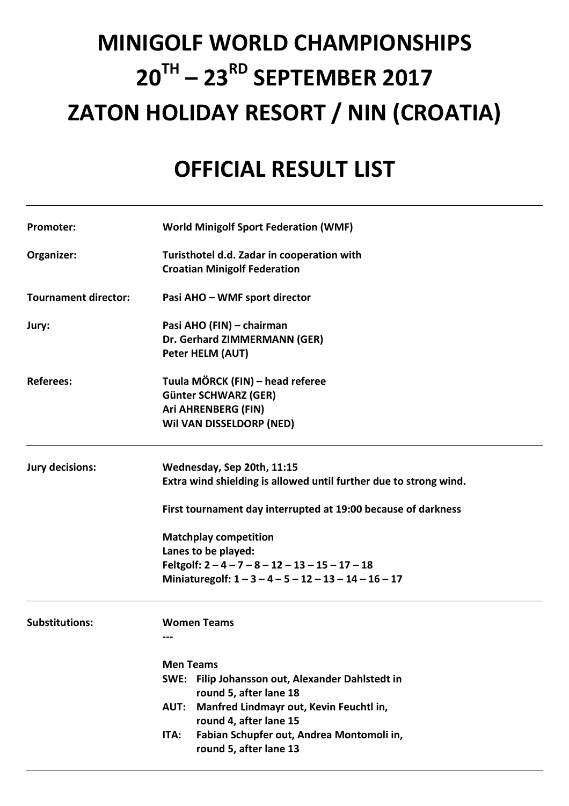# **MINIGOLF WORLD CHAMPIONSHIPS 20TH – 23RD SEPTEMBER 2017 ZATON HOLIDAY RESORT / NIN (CROATIA)**

# **OFFICIAL RESULT LIST**

| <b>Promoter:</b>            | <b>World Minigolf Sport Federation (WMF)</b>                                                                                                                                          |
|-----------------------------|---------------------------------------------------------------------------------------------------------------------------------------------------------------------------------------|
| Organizer:                  | Turisthotel d.d. Zadar in cooperation with<br><b>Croatian Minigolf Federation</b>                                                                                                     |
| <b>Tournament director:</b> | Pasi AHO - WMF sport director                                                                                                                                                         |
| Jury:                       | Pasi AHO (FIN) - chairman<br>Dr. Gerhard ZIMMERMANN (GER)<br>Peter HELM (AUT)                                                                                                         |
| <b>Referees:</b>            | Tuula MÖRCK (FIN) - head referee<br><b>Günter SCHWARZ (GER)</b><br><b>Ari AHRENBERG (FIN)</b><br>Wil VAN DISSELDORP (NED)                                                             |
| <b>Jury decisions:</b>      | Wednesday, Sep 20th, 11:15<br>Extra wind shielding is allowed until further due to strong wind.                                                                                       |
|                             | First tournament day interrupted at 19:00 because of darkness                                                                                                                         |
|                             | <b>Matchplay competition</b><br>Lanes to be played:<br>Feltgolf: $2 - 4 - 7 - 8 - 12 - 13 - 15 - 17 - 18$<br>Miniaturegolf: $1 - 3 - 4 - 5 - 12 - 13 - 14 - 16 - 17$                  |
| <b>Substitutions:</b>       | <b>Women Teams</b><br>---<br><b>Men Teams</b><br>SWE: Filip Johansson out, Alexander Dahlstedt in<br>round 5, after lane 18<br>Manfred Lindmayr out, Kevin Feuchtl in,<br><b>AUT:</b> |
|                             | round 4, after lane 15<br>Fabian Schupfer out, Andrea Montomoli in,<br>ITA:<br>round 5, after lane 13                                                                                 |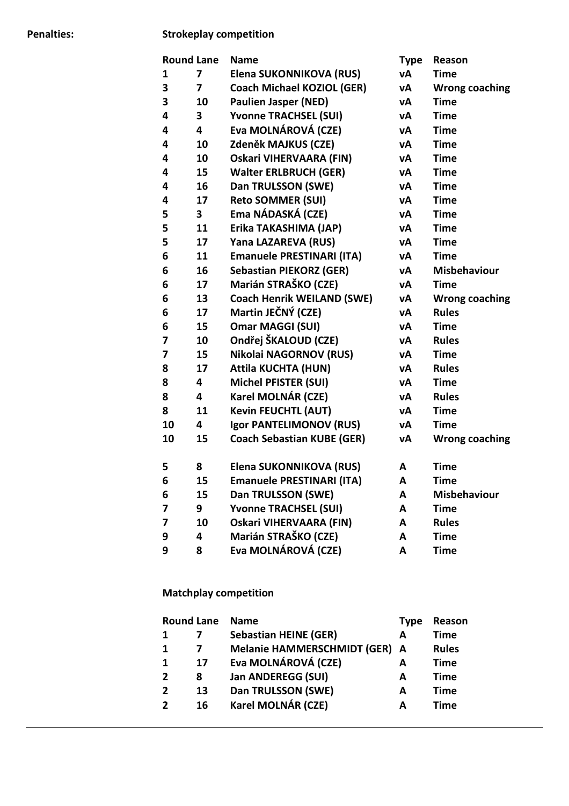#### **Penalties: Strokeplay competition**

| <b>Round Lane</b> |    | <b>Name</b>                       | <b>Type</b> | Reason                |
|-------------------|----|-----------------------------------|-------------|-----------------------|
| 1                 | 7  | Elena SUKONNIKOVA (RUS)           | vΑ          | <b>Time</b>           |
| 3                 | 7  | <b>Coach Michael KOZIOL (GER)</b> | vΑ          | <b>Wrong coaching</b> |
| 3                 | 10 | <b>Paulien Jasper (NED)</b>       | vΑ          | <b>Time</b>           |
| 4                 | 3  | <b>Yvonne TRACHSEL (SUI)</b>      | vΑ          | <b>Time</b>           |
| 4                 | 4  | Eva MOLNÁROVÁ (CZE)               | vΑ          | <b>Time</b>           |
| 4                 | 10 | Zdeněk MAJKUS (CZE)               | vΑ          | <b>Time</b>           |
| 4                 | 10 | <b>Oskari VIHERVAARA (FIN)</b>    | vΑ          | <b>Time</b>           |
| 4                 | 15 | <b>Walter ERLBRUCH (GER)</b>      | vΑ          | <b>Time</b>           |
| 4                 | 16 | Dan TRULSSON (SWE)                | vΑ          | <b>Time</b>           |
| 4                 | 17 | <b>Reto SOMMER (SUI)</b>          | vΑ          | <b>Time</b>           |
| 5                 | 3  | Ema NÁDASKÁ (CZE)                 | νA          | <b>Time</b>           |
| 5                 | 11 | Erika TAKASHIMA (JAP)             | vA          | <b>Time</b>           |
| 5                 | 17 | Yana LAZAREVA (RUS)               | vΑ          | <b>Time</b>           |
| 6                 | 11 | <b>Emanuele PRESTINARI (ITA)</b>  | vΑ          | <b>Time</b>           |
| 6                 | 16 | <b>Sebastian PIEKORZ (GER)</b>    | vΑ          | <b>Misbehaviour</b>   |
| 6                 | 17 | Marián STRAŠKO (CZE)              | vΑ          | <b>Time</b>           |
| 6                 | 13 | <b>Coach Henrik WEILAND (SWE)</b> | vΑ          | <b>Wrong coaching</b> |
| 6                 | 17 | Martin JEČNÝ (CZE)                | vΑ          | <b>Rules</b>          |
| 6                 | 15 | <b>Omar MAGGI (SUI)</b>           | vΑ          | <b>Time</b>           |
| 7                 | 10 | Ondřej ŠKALOUD (CZE)              | vΑ          | <b>Rules</b>          |
| 7                 | 15 | Nikolai NAGORNOV (RUS)            | vΑ          | <b>Time</b>           |
| 8                 | 17 | <b>Attila KUCHTA (HUN)</b>        | vΑ          | <b>Rules</b>          |
| 8                 | 4  | <b>Michel PFISTER (SUI)</b>       | vΑ          | <b>Time</b>           |
| 8                 | 4  | Karel MOLNÁR (CZE)                | vΑ          | <b>Rules</b>          |
| 8                 | 11 | <b>Kevin FEUCHTL (AUT)</b>        | vΑ          | <b>Time</b>           |
| 10                | 4  | Igor PANTELIMONOV (RUS)           | vΑ          | <b>Time</b>           |
| 10                | 15 | <b>Coach Sebastian KUBE (GER)</b> | vΑ          | <b>Wrong coaching</b> |
| 5                 | 8  | Elena SUKONNIKOVA (RUS)           | A           | <b>Time</b>           |
| 6                 | 15 | Emanuele PRESTINARI (ITA)         | Α           | <b>Time</b>           |
| 6                 | 15 | Dan TRULSSON (SWE)                | A           | <b>Misbehaviour</b>   |
| 7                 | 9  | <b>Yvonne TRACHSEL (SUI)</b>      | A           | <b>Time</b>           |
| 7                 | 10 | <b>Oskari VIHERVAARA (FIN)</b>    | A           | <b>Rules</b>          |
| 9                 | 4  | Marián STRAŠKO (CZE)              | A           | <b>Time</b>           |
| 9                 | 8  | Eva MOLNÁROVÁ (CZE)               | A           | <b>Time</b>           |

#### **Matchplay competition**

|                | <b>Round Lane</b> | <b>Name</b>                        | <b>Type</b> | Reason       |
|----------------|-------------------|------------------------------------|-------------|--------------|
| 1              |                   | <b>Sebastian HEINE (GER)</b>       | А           | <b>Time</b>  |
| 1              |                   | <b>Melanie HAMMERSCHMIDT (GER)</b> | A           | <b>Rules</b> |
| 1              | 17                | Eva MOLNÁROVÁ (CZE)                | A           | <b>Time</b>  |
| $\overline{2}$ | 8                 | Jan ANDEREGG (SUI)                 | А           | <b>Time</b>  |
| $\overline{2}$ | 13                | Dan TRULSSON (SWE)                 | A           | <b>Time</b>  |
| $\overline{2}$ | 16                | Karel MOLNÁR (CZE)                 | А           | Time         |
|                |                   |                                    |             |              |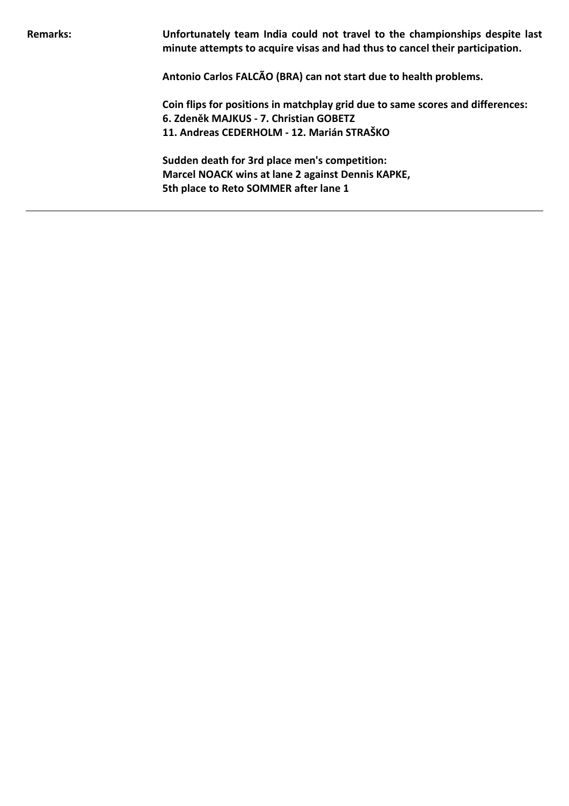**Remarks: Unfortunately team India could not travel to the championships despite last minute attempts to acquire visas and had thus to cancel their participation.** 

**Antonio Carlos FALCÃO (BRA) can not start due to health problems.** 

**Coin flips for positions in matchplay grid due to same scores and differences: 6. Zdeněk MAJKUS - 7. Christian GOBETZ 11. Andreas CEDERHOLM - 12. Marián STRAŠKO** 

**Sudden death for 3rd place men's competition: Marcel NOACK wins at lane 2 against Dennis KAPKE, 5th place to Reto SOMMER after lane 1**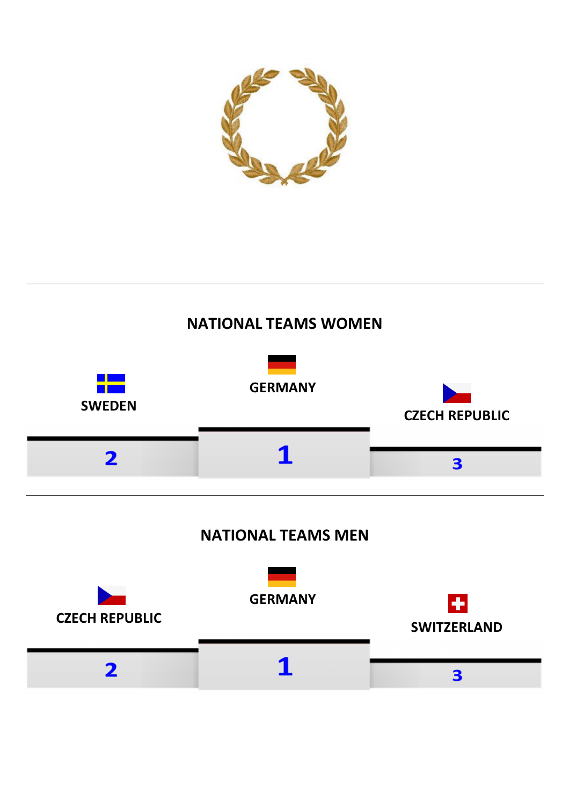

# **NATIONAL TEAMS WOMEN**

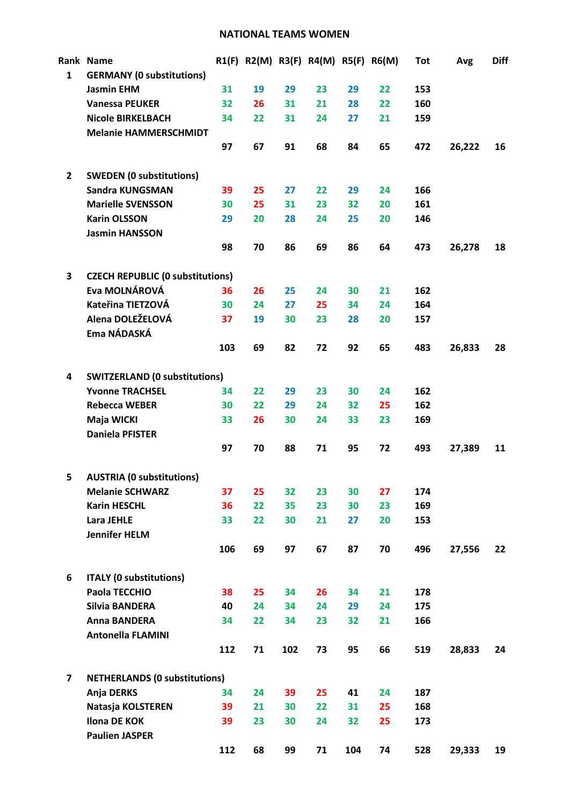#### **NATIONAL TEAMS WOMEN**

|                         | Rank Name                                                |     |    |     | R1(F) R2(M) R3(F) R4(M) R5(F) R6(M) |     |    | Tot | Avg    | <b>Diff</b> |
|-------------------------|----------------------------------------------------------|-----|----|-----|-------------------------------------|-----|----|-----|--------|-------------|
| $\mathbf{1}$            | <b>GERMANY (0 substitutions)</b>                         |     |    |     |                                     |     |    |     |        |             |
|                         | <b>Jasmin EHM</b>                                        | 31  | 19 | 29  | 23                                  | 29  | 22 | 153 |        |             |
|                         | <b>Vanessa PEUKER</b>                                    | 32  | 26 | 31  | 21                                  | 28  | 22 | 160 |        |             |
|                         | <b>Nicole BIRKELBACH</b>                                 | 34  | 22 | 31  | 24                                  | 27  | 21 | 159 |        |             |
|                         | <b>Melanie HAMMERSCHMIDT</b>                             |     |    |     |                                     |     |    |     |        |             |
|                         |                                                          | 97  | 67 | 91  | 68                                  | 84  | 65 | 472 | 26,222 | 16          |
| $\overline{2}$          | <b>SWEDEN (0 substitutions)</b>                          |     |    |     |                                     |     |    |     |        |             |
|                         | Sandra KUNGSMAN                                          | 39  | 25 | 27  | 22                                  | 29  | 24 | 166 |        |             |
|                         | <b>Marielle SVENSSON</b>                                 | 30  | 25 | 31  | 23                                  | 32  | 20 | 161 |        |             |
|                         | <b>Karin OLSSON</b>                                      | 29  | 20 | 28  | 24                                  | 25  | 20 | 146 |        |             |
|                         | <b>Jasmin HANSSON</b>                                    |     |    |     |                                     |     |    |     |        |             |
|                         |                                                          | 98  | 70 | 86  | 69                                  | 86  | 64 | 473 | 26,278 | 18          |
|                         |                                                          |     |    |     |                                     |     |    |     |        |             |
| 3                       | <b>CZECH REPUBLIC (0 substitutions)</b><br>Eva MOLNÁROVÁ |     |    |     |                                     |     |    | 162 |        |             |
|                         | Kateřina TIETZOVÁ                                        | 36  | 26 | 25  | 24                                  | 30  | 21 |     |        |             |
|                         | Alena DOLEŽELOVÁ                                         | 30  | 24 | 27  | 25                                  | 34  | 24 | 164 |        |             |
|                         | Ema NÁDASKÁ                                              | 37  | 19 | 30  | 23                                  | 28  | 20 | 157 |        |             |
|                         |                                                          |     |    |     |                                     |     |    |     |        |             |
|                         |                                                          | 103 | 69 | 82  | 72                                  | 92  | 65 | 483 | 26,833 | 28          |
| 4                       | <b>SWITZERLAND (0 substitutions)</b>                     |     |    |     |                                     |     |    |     |        |             |
|                         | <b>Yvonne TRACHSEL</b>                                   | 34  | 22 | 29  | 23                                  | 30  | 24 | 162 |        |             |
|                         | <b>Rebecca WEBER</b>                                     | 30  | 22 | 29  | 24                                  | 32  | 25 | 162 |        |             |
|                         | Maja WICKI                                               | 33  | 26 | 30  | 24                                  | 33  | 23 | 169 |        |             |
|                         | <b>Daniela PFISTER</b>                                   |     |    |     |                                     |     |    |     |        |             |
|                         |                                                          | 97  | 70 | 88  | 71                                  | 95  | 72 | 493 | 27,389 | 11          |
| 5.                      | <b>AUSTRIA (0 substitutions)</b>                         |     |    |     |                                     |     |    |     |        |             |
|                         | <b>Melanie SCHWARZ</b>                                   | 37  | 25 | 32  | 23                                  | 30  | 27 | 174 |        |             |
|                         | <b>Karin HESCHL</b>                                      | 36  | 22 | 35  | 23                                  | 30  | 23 | 169 |        |             |
|                         | <b>Lara JEHLE</b>                                        | 33  | 22 | 30  | 21                                  | 27  | 20 | 153 |        |             |
|                         | <b>Jennifer HELM</b>                                     |     |    |     |                                     |     |    |     |        |             |
|                         |                                                          | 106 | 69 | 97  | 67                                  | 87  | 70 | 496 | 27,556 | 22          |
| 6                       | <b>ITALY (0 substitutions)</b>                           |     |    |     |                                     |     |    |     |        |             |
|                         | Paola TECCHIO                                            | 38  | 25 | 34  | 26                                  | 34  | 21 | 178 |        |             |
|                         | Silvia BANDERA                                           | 40  | 24 | 34  | 24                                  | 29  | 24 | 175 |        |             |
|                         | Anna BANDERA                                             | 34  | 22 | 34  | 23                                  | 32  | 21 | 166 |        |             |
|                         | <b>Antonella FLAMINI</b>                                 |     |    |     |                                     |     |    |     |        |             |
|                         |                                                          | 112 | 71 | 102 | 73                                  | 95  | 66 | 519 | 28,833 | 24          |
| $\overline{\mathbf{z}}$ | <b>NETHERLANDS (0 substitutions)</b>                     |     |    |     |                                     |     |    |     |        |             |
|                         | Anja DERKS                                               | 34  | 24 | 39  | 25                                  | 41  | 24 | 187 |        |             |
|                         | Natasja KOLSTEREN                                        | 39  | 21 | 30  | 22                                  | 31  | 25 | 168 |        |             |
|                         | <b>Ilona DE KOK</b>                                      | 39  | 23 | 30  | 24                                  | 32  | 25 | 173 |        |             |
|                         | <b>Paulien JASPER</b>                                    |     |    |     |                                     |     |    |     |        |             |
|                         |                                                          | 112 | 68 | 99  | 71                                  | 104 | 74 | 528 | 29,333 | 19          |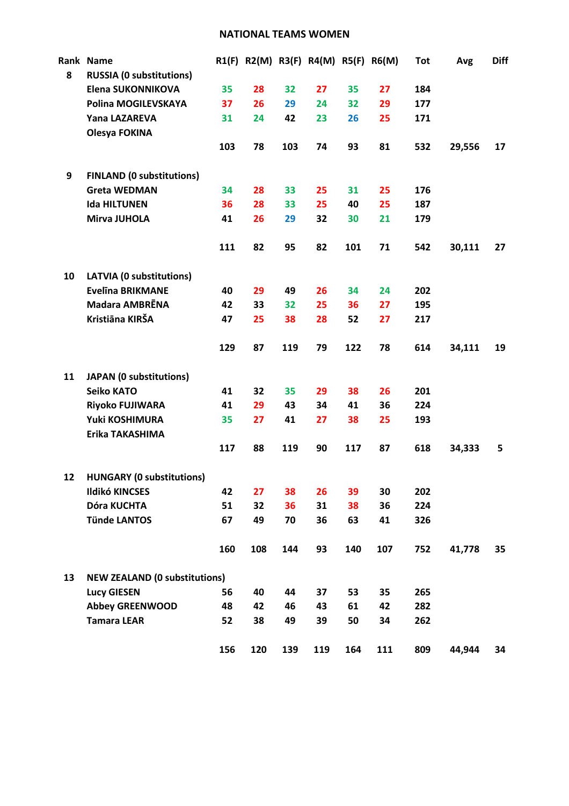#### **NATIONAL TEAMS WOMEN**

|    | Rank Name                                |     |          |          | R1(F) R2(M) R3(F) R4(M) R5(F) R6(M) |     |          | <b>Tot</b> | Avg    | <b>Diff</b> |
|----|------------------------------------------|-----|----------|----------|-------------------------------------|-----|----------|------------|--------|-------------|
| 8  | <b>RUSSIA (0 substitutions)</b>          |     |          |          |                                     |     |          |            |        |             |
|    | Elena SUKONNIKOVA<br>Polina MOGILEVSKAYA | 35  | 28<br>26 | 32<br>29 | 27                                  | 35  | 27<br>29 | 184<br>177 |        |             |
|    | Yana LAZAREVA                            | 37  |          |          | 24                                  | 32  |          |            |        |             |
|    |                                          | 31  | 24       | 42       | 23                                  | 26  | 25       | 171        |        |             |
|    | Olesya FOKINA                            | 103 | 78       | 103      | 74                                  | 93  | 81       | 532        | 29,556 | 17          |
| 9  | <b>FINLAND (0 substitutions)</b>         |     |          |          |                                     |     |          |            |        |             |
|    | <b>Greta WEDMAN</b>                      | 34  | 28       | 33       | 25                                  | 31  | 25       | 176        |        |             |
|    | <b>Ida HILTUNEN</b>                      | 36  | 28       | 33       | 25                                  | 40  | 25       | 187        |        |             |
|    | Mirva JUHOLA                             | 41  | 26       | 29       | 32                                  | 30  | 21       | 179        |        |             |
|    |                                          | 111 | 82       | 95       | 82                                  | 101 | 71       | 542        | 30,111 | 27          |
| 10 | <b>LATVIA (0 substitutions)</b>          |     |          |          |                                     |     |          |            |        |             |
|    | <b>Evelina BRIKMANE</b>                  | 40  | 29       | 49       | 26                                  | 34  | 24       | 202        |        |             |
|    | <b>Madara AMBRENA</b>                    | 42  | 33       | 32       | 25                                  | 36  | 27       | 195        |        |             |
|    | Kristiāna KIRŠA                          | 47  | 25       | 38       | 28                                  | 52  | 27       | 217        |        |             |
|    |                                          | 129 | 87       | 119      | 79                                  | 122 | 78       | 614        | 34,111 | 19          |
| 11 | <b>JAPAN (0 substitutions)</b>           |     |          |          |                                     |     |          |            |        |             |
|    | <b>Seiko KATO</b>                        | 41  | 32       | 35       | 29                                  | 38  | 26       | 201        |        |             |
|    | <b>Riyoko FUJIWARA</b>                   | 41  | 29       | 43       | 34                                  | 41  | 36       | 224        |        |             |
|    | Yuki KOSHIMURA                           | 35  | 27       | 41       | 27                                  | 38  | 25       | 193        |        |             |
|    | Erika TAKASHIMA                          |     |          |          |                                     |     |          |            |        |             |
|    |                                          | 117 | 88       | 119      | 90                                  | 117 | 87       | 618        | 34,333 | 5           |
| 12 | <b>HUNGARY (0 substitutions)</b>         |     |          |          |                                     |     |          |            |        |             |
|    | <b>Ildikó KINCSES</b>                    | 42  | 27       | 38       | 26                                  | 39  | 30       | 202        |        |             |
|    | Dóra KUCHTA                              | 51  | 32       | 36       | 31                                  | 38  | 36       | 224        |        |             |
|    | <b>Tünde LANTOS</b>                      | 67  | 49       | 70       | 36                                  | 63  | 41       | 326        |        |             |
|    |                                          | 160 | 108      | 144      | 93                                  | 140 | 107      | 752        | 41,778 | 35          |
| 13 | <b>NEW ZEALAND (0 substitutions)</b>     |     |          |          |                                     |     |          |            |        |             |
|    | <b>Lucy GIESEN</b>                       | 56  | 40       | 44       | 37                                  | 53  | 35       | 265        |        |             |
|    | <b>Abbey GREENWOOD</b>                   | 48  | 42       | 46       | 43                                  | 61  | 42       | 282        |        |             |
|    | <b>Tamara LEAR</b>                       | 52  | 38       | 49       | 39                                  | 50  | 34       | 262        |        |             |
|    |                                          | 156 | 120      | 139      | 119                                 | 164 | 111      | 809        | 44,944 | 34          |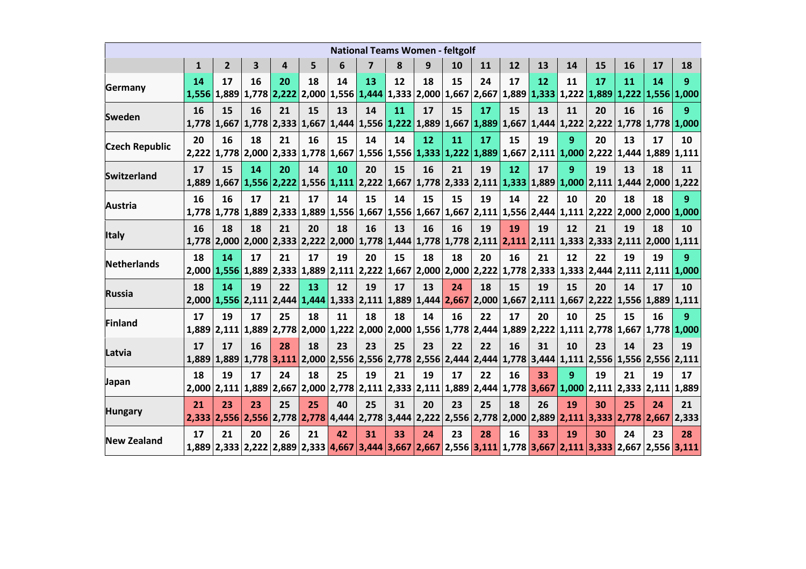| <b>National Teams Women - feltgolf</b> |              |              |    |                                                                                                 |    |    |                |    |    |    |    |    |    |                                                                                    |    |             |                                                                                                                                                     |                |
|----------------------------------------|--------------|--------------|----|-------------------------------------------------------------------------------------------------|----|----|----------------|----|----|----|----|----|----|------------------------------------------------------------------------------------|----|-------------|-----------------------------------------------------------------------------------------------------------------------------------------------------|----------------|
|                                        | $\mathbf{1}$ | $\mathbf{2}$ | 3  | 4                                                                                               | 5  | 6  | $\overline{ }$ | 8  | 9  | 10 | 11 | 12 | 13 | 14                                                                                 | 15 | 16          | 17                                                                                                                                                  | 18             |
| Germany                                | 14<br>1,556  | 17           | 16 | 20<br>$1,889$ 1,778 2,222 2,000 1,556 1,444 1,333 2,000 1,667 2,667                             | 18 | 14 | 13             | 12 | 18 | 15 | 24 | 17 | 12 | 11<br>$\left  1,889 \right  1,333 \left  1,222 \right  1,889 \left  1,222 \right $ | 17 | 11          | 14<br>1,556 1,000                                                                                                                                   | 9              |
| Sweden                                 | <b>16</b>    | 15           | 16 | 21                                                                                              | 15 | 13 | 14             | 11 | 17 | 15 | 17 | 15 | 13 | 11                                                                                 | 20 | 16          | 16<br>1,778   1,667   1,778   2,333   1,667   1,444   1,556   1,222   1,889   1,667   1,889   1,667   1,444   1,222   2,222   1,778   1,778   1,000 | 9              |
| <b>Czech Republic</b>                  | 20<br>2.222  | 16           | 18 | 21<br>1,778 2,000 2,333 1,778 1,667 1,556 1,556 1,333 1,222 1,889 1,667 2,111 1,000 2,222       | 16 | 15 | 14             | 14 | 12 | 11 | 17 | 15 | 19 | 9                                                                                  | 20 | 13          | 17<br>$1,444$   $1,889$   $1,111$                                                                                                                   | 10             |
| <b>Switzerland</b>                     | 17<br>1,889  | 15           | 14 | 20<br>1,667 1,556 2,222 1,556 1,111 2,222 1,667 1,778 2,333 2,111 1,333 1,889 1,000 2,111       | 14 | 10 | 20             | 15 | 16 | 21 | 19 | 12 | 17 | 9                                                                                  | 19 | 13<br>1,444 | 18<br> 2,000 1,222                                                                                                                                  | 11             |
| <b>Austria</b>                         | 16<br>1,778  | 16           | 17 | 21                                                                                              | 17 | 14 | 15             | 14 | 15 | 15 | 19 | 14 | 22 | 10                                                                                 | 20 | 18          | 18<br>$1,778$ 1,889 2,333 1,889 1,556 1,667 1,556 1,667 1,667 2,111 1,556 2,444 1,111 2,222 2,000 2,000 1,000                                       | 9              |
| <b>Italy</b>                           | 16<br>1.778  | 18           | 18 | 21<br>2,000 2,000 2,333 2,222 2,000 1,778 1,444 1,778 1,778 2,111 2,111 2,111 1,333 2,333 2,111 | 20 | 18 | 16             | 13 | 16 | 16 | 19 | 19 | 19 | 12                                                                                 | 21 | 19          | 18<br> 2,000 1,111                                                                                                                                  | 10             |
| Netherlands                            | 18           | 14           | 17 | 21                                                                                              | 17 | 19 | 20             | 15 | 18 | 18 | 20 | 16 | 21 | 12                                                                                 | 22 | 19          | 19<br>2,000 1,556 1,889 2,333 1,889 2,111 2,222 1,667 2,000 2,000 2,222 1,778 2,333 1,333 2,444 2,111 2,111 1,000                                   | 9.             |
| <b>Russia</b>                          | 18           | 14           | 19 | 22                                                                                              | 13 | 12 | 19             | 17 | 13 | 24 | 18 | 15 | 19 | 15                                                                                 | 20 | 14          | 17<br>2,000 1,556 2,111 2,444 1,444 1,333 2,111 1,889 1,444 2,667 2,000 1,667 2,111 1,667 2,222 1,556 1,889 1,111                                   | 10             |
| <b>Finland</b>                         | 17<br>1.889  | 19           | 17 | 25<br>2,111 1,889 2,778 2,000 1,222 2,000 2,000 1,556 1,778 2,444 1,889 2,222 1,111 2,778       | 18 | 11 | 18             | 18 | 14 | 16 | 22 | 17 | 20 | 10                                                                                 | 25 | 15<br>1,667 | 16<br>1,778 1,000                                                                                                                                   | $\overline{9}$ |
| Latvia                                 | 17<br>1,889  | 17           | 16 | 28                                                                                              | 18 | 23 | 23             | 25 | 23 | 22 | 22 | 16 | 31 | 10                                                                                 | 23 | 14          | 23<br>1,889 1,778 3,111 2,000 2,556 2,556 2,778 2,556 2,444 2,444 1,778 3,444 1,111 2,556 1,556 2,556 2,111                                         | 19             |
| Japan                                  | 18<br>2,000  | 19           | 17 | 24<br>2,111 1,889 2,667 2,000 2,778 2,111 2,333 2,111 1,889 2,444 1,778 3,667 1,000 2,111       | 18 | 25 | 19             | 21 | 19 | 17 | 22 | 16 | 33 | 9                                                                                  | 19 | 21          | 19<br>$2,333$ $2,111$ 1,889                                                                                                                         | 17             |
| <b>Hungary</b>                         | 21<br>2,333  | 23           | 23 | 25                                                                                              | 25 | 40 | 25             | 31 | 20 | 23 | 25 | 18 | 26 | 19                                                                                 | 30 | 25          | 24<br>2,556 2,556 2,778 2,778 4,444 2,778 3,444 2,222 2,556 2,778 2,000 2,889 2,111 3,333 2,778 2,667 2,333                                         | 21             |
| <b>New Zealand</b>                     | 17           | 21           | 20 | 26                                                                                              | 21 | 42 | 31             | 33 | 24 | 23 | 28 | 16 | 33 | 19                                                                                 | 30 | 24          | 23<br>1,889 2,333 2,222 2,889 2,333 4,667 3,444 3,667 2,667 2,556 3,111 1,778 3,667 2,111 3,333 2,667 2,556 3,111                                   | 28             |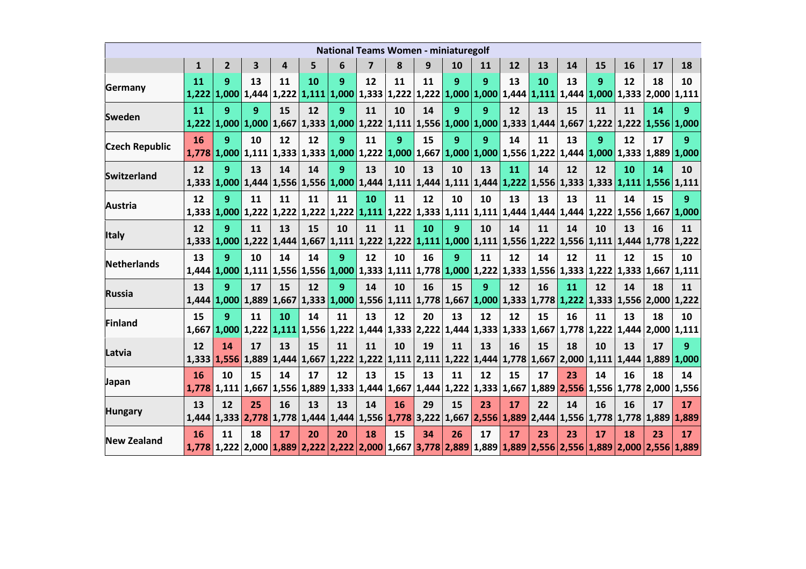| <b>National Teams Women - miniaturegolf</b> |                    |              |    |                                                                                                                                                                                                    |    |    |                |           |    |    |    |    |    |    |              |             |                                                                                                                                                     |                 |
|---------------------------------------------|--------------------|--------------|----|----------------------------------------------------------------------------------------------------------------------------------------------------------------------------------------------------|----|----|----------------|-----------|----|----|----|----|----|----|--------------|-------------|-----------------------------------------------------------------------------------------------------------------------------------------------------|-----------------|
|                                             | $\mathbf{1}$       | $\mathbf{2}$ | 3  | 4                                                                                                                                                                                                  | 5  | 6  | $\overline{ }$ | 8         | 9  | 10 | 11 | 12 | 13 | 14 | 15           | 16          | 17                                                                                                                                                  | 18              |
| Germany                                     | 11<br>1,222        | 9            | 13 | 11<br>$\mid$ 1,000 $\mid$ 1,444 $\mid$ 1,222 $\mid$ 1,111 $\mid$ 1,000 $\mid$ 1,333 $\mid$ 1,222 $\mid$ 1,222 $\mid$ 1,000 $\mid$ 1,000 $\mid$ 1,444 $\mid$ 1,111 $\mid$ 1,444 $\mid$ 1,000 $\mid$ | 10 | 9  | 12             | 11        | 11 | 9  | 9  | 13 | 10 | 13 | 9            | 12          | 18<br>$1,333$   2,000   1,111                                                                                                                       | 10              |
| <b>Sweden</b>                               | <b>11</b><br>1,222 | 9            | 9  | 15                                                                                                                                                                                                 | 12 | 9  | 11             | 10        | 14 | 9  | 9  | 12 | 13 | 15 | 11           | 11          | 14<br>1,000 1,000 1,667 1,333 1,000 1,222 1,111 1,556 1,000 1,000 1,333 1,444 1,667 1,222 1,222 1,556 1,000                                         | 9               |
| <b>Czech Republic</b>                       | 16                 | 9            | 10 | 12                                                                                                                                                                                                 | 12 | 9  | 11             | 9         | 15 | 9  | 9  | 14 | 11 | 13 | $\mathbf{q}$ | 12          | 17<br>1,778 1,000 1,111 1,333 1,333 1,000 1,222 1,000 1,667 1,000 1,000 1,556 1,222 1,444 1,000 1,333 1,889 1,000                                   | 9               |
| <b>Switzerland</b>                          | 12                 | 9            | 13 | 14                                                                                                                                                                                                 | 14 | 9  | 13             | 10        | 13 | 10 | 13 | 11 | 14 | 12 | 12           | 10          | 14<br>1,333 1,333 1,111 1,556 1,111 1,556 1,000 1,444 1,111 1,444 1,111 1,444 1,222 1,556 1,333 1,333 1,111 1,556 1,111                             | 10              |
| <b>Austria</b>                              | 12                 | 9            | 11 | 11                                                                                                                                                                                                 | 11 | 11 | 10             | 11        | 12 | 10 | 10 | 13 | 13 | 13 | 11           | 14          | 15<br>1,333 1,000 1,222 1,222 1,222 1,222 1,121 1,222 1,333 1,111 1,111 1,444 1,444 1,444 1,222 1,556 1,667 1,000                                   | 9               |
| <b>Italy</b>                                | 12                 | 9            | 11 | 13                                                                                                                                                                                                 | 15 | 10 | 11             | 11        | 10 | 9  | 10 | 14 | 11 | 14 | 10           | 13          | 16<br>1,333   1,000   1,222   1,444   1,667   1,111   1,222   1,222   1,111   1,000   1,111   1,556   1,222   1,556   1,111   1,444   1,778   1,222 | 11              |
| Netherlands                                 | 13                 | 9            | 10 | 14<br>1,444 1,000 1,111 1,556 1,556 1,000 1,333 1,111 1,778 1,000 1,222 1,333 1,556 1,333 1,222                                                                                                    | 14 | 9  | 12             | 10        | 16 | 9  | 11 | 12 | 14 | 12 | 11           | 12          | 15<br>1,333 1,667 1,111                                                                                                                             | 10              |
| <b>Russia</b>                               | 13                 | 9            | 17 | 15                                                                                                                                                                                                 | 12 | 9  | 14             | 10        | 16 | 15 | 9  | 12 | 16 | 11 | 12           | 14          | 18<br>1,444 1,000 1,889 1,667 1,333 1,000 1,556 1,111 1,778 1,667 1,000 1,333 1,778 1,222 1,333 1,556 2,000 1,222                                   | 11              |
| <b>Finland</b>                              | 15<br>1.667        | 9            | 11 | 10<br>1,000 1,222 1,111 1,556 1,222 1,444 1,333 2,222 1,444 1,333 1,333 1,667 1,778 1,222                                                                                                          | 14 | 11 | 13             | 12        | 20 | 13 | 12 | 12 | 15 | 16 | 11           | 13<br>1,444 | 18<br>2,000 1,111                                                                                                                                   | 10              |
| Latvia                                      | 12                 | 14           | 17 | 13                                                                                                                                                                                                 | 15 | 11 | 11             | 10        | 19 | 11 | 13 | 16 | 15 | 18 | 10           | 13          | 17<br>1,333 1,556 1,889 1,444 1,667 1,222 1,222 1,111 2,111 1,222 1,444 1,778 1,667 2,000 1,111 1,444 1,889 1,000                                   | 9               |
| Japan                                       | 16<br>1,778        | 10           | 15 | 14<br>1,111 1,667 1,556 1,889 1,333 1,444 1,667 1,444 1,222 1,333 1,667 1,889 2,556 1,556 1,778                                                                                                    | 17 | 12 | 13             | 15        | 13 | 11 | 12 | 15 | 17 | 23 | 14           | 16          | 18<br> 2,000 1,556                                                                                                                                  | 14              |
| <b>Hungary</b>                              | 13<br>1.444        | 12           | 25 | 16                                                                                                                                                                                                 | 13 | 13 | 14             | <b>16</b> | 29 | 15 | 23 | 17 | 22 | 14 | 16           | 16          | 17<br>1,333 2,778 1,778 1,444 1,444 1,556 1,778 3,222 1,667 2,556 1,889 2,444 1,556 1,778 1,778 1,889 1,889                                         | 17              |
| <b>New Zealand</b>                          | 16                 | 11           | 18 | 17                                                                                                                                                                                                 | 20 | 20 | 18             | 15        | 34 | 26 | 17 | 17 | 23 | 23 | 17           | 18          | 23<br>1,778 1,222 2,000 1,889 2,222 2,222 2,000 1,667 3,778 2,889 1,889 1,889 2,556 2,556 1,889 2,000 2,556 1,889                                   | 17 <sup>2</sup> |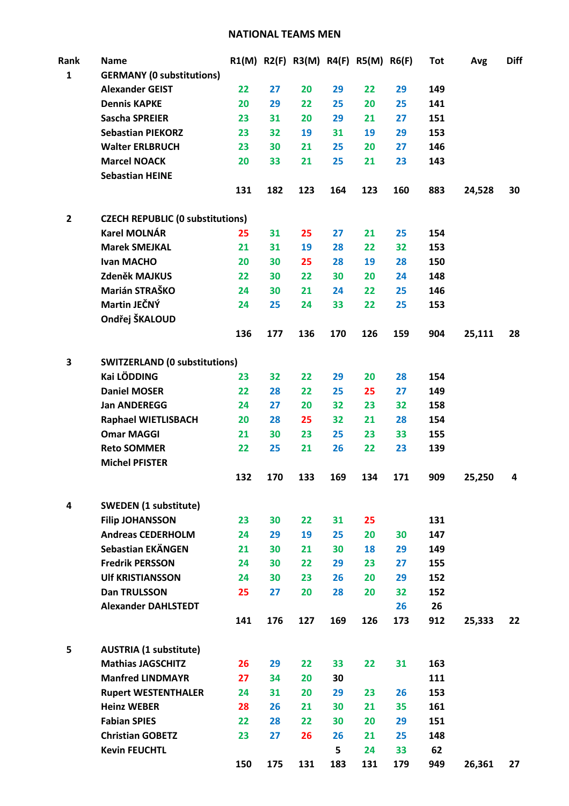#### **NATIONAL TEAMS MEN**

| Rank         | <b>Name</b>                             |     |     |     |          | R1(M) R2(F) R3(M) R4(F) R5(M) R6(F) |           | <b>Tot</b> | Avg    | <b>Diff</b> |
|--------------|-----------------------------------------|-----|-----|-----|----------|-------------------------------------|-----------|------------|--------|-------------|
| $\mathbf{1}$ | <b>GERMANY (0 substitutions)</b>        |     |     |     |          |                                     |           |            |        |             |
|              | <b>Alexander GEIST</b>                  | 22  | 27  | 20  | 29       | 22                                  | 29        | 149        |        |             |
|              | <b>Dennis KAPKE</b>                     | 20  | 29  | 22  | 25       | 20                                  | 25        | 141        |        |             |
|              | <b>Sascha SPREIER</b>                   | 23  | 31  | 20  | 29       | 21                                  | 27        | 151        |        |             |
|              | <b>Sebastian PIEKORZ</b>                | 23  | 32  | 19  | 31       | 19                                  | 29        | 153        |        |             |
|              | <b>Walter ERLBRUCH</b>                  | 23  | 30  | 21  | 25       | 20                                  | 27        | 146        |        |             |
|              | <b>Marcel NOACK</b>                     | 20  | 33  | 21  | 25       | 21                                  | 23        | 143        |        |             |
|              | <b>Sebastian HEINE</b>                  |     |     |     |          |                                     |           |            |        |             |
|              |                                         | 131 | 182 | 123 | 164      | 123                                 | 160       | 883        | 24,528 | 30          |
| $\mathbf{2}$ | <b>CZECH REPUBLIC (0 substitutions)</b> |     |     |     |          |                                     |           |            |        |             |
|              | <b>Karel MOLNÁR</b>                     | 25  | 31  | 25  | 27       | 21                                  | 25        | 154        |        |             |
|              | <b>Marek SMEJKAL</b>                    | 21  | 31  | 19  | 28       | 22                                  | 32        | 153        |        |             |
|              | <b>Ivan MACHO</b>                       | 20  | 30  | 25  | 28       | 19                                  | 28        | 150        |        |             |
|              | Zdeněk MAJKUS                           | 22  | 30  | 22  | 30       | 20                                  | 24        | 148        |        |             |
|              | Marián STRAŠKO                          | 24  | 30  | 21  | 24       | 22                                  | 25        | 146        |        |             |
|              | Martin JEČNÝ                            | 24  | 25  | 24  | 33       | 22                                  | 25        | 153        |        |             |
|              | Ondřej ŠKALOUD                          |     |     |     |          |                                     |           |            |        |             |
|              |                                         | 136 | 177 | 136 | 170      | 126                                 | 159       | 904        | 25,111 | 28          |
| 3            | <b>SWITZERLAND (0 substitutions)</b>    |     |     |     |          |                                     |           |            |        |             |
|              | <b>Kai LÖDDING</b>                      | 23  | 32  | 22  | 29       | 20                                  | 28        | 154        |        |             |
|              | <b>Daniel MOSER</b>                     | 22  | 28  | 22  | 25       | 25                                  | 27        | 149        |        |             |
|              | <b>Jan ANDEREGG</b>                     | 24  | 27  | 20  | 32       | 23                                  | 32        | 158        |        |             |
|              | <b>Raphael WIETLISBACH</b>              | 20  | 28  | 25  | 32       | 21                                  | 28        | 154        |        |             |
|              | <b>Omar MAGGI</b>                       | 21  | 30  | 23  | 25       | 23                                  | 33        | 155        |        |             |
|              | <b>Reto SOMMER</b>                      | 22  | 25  | 21  | 26       | 22                                  | 23        | 139        |        |             |
|              | <b>Michel PFISTER</b>                   |     |     |     |          |                                     |           |            |        |             |
|              |                                         | 132 | 170 | 133 | 169      | 134                                 | 171       | 909        | 25,250 | 4           |
| 4            | <b>SWEDEN</b> (1 substitute)            |     |     |     |          |                                     |           |            |        |             |
|              | <b>Filip JOHANSSON</b>                  | 23  | 30  | 22  | 31       | 25                                  |           | 131        |        |             |
|              | <b>Andreas CEDERHOLM</b>                | 24  | 29  | 19  | 25       | 20                                  | 30        | 147        |        |             |
|              | Sebastian EKÄNGEN                       | 21  | 30  | 21  | 30       | 18                                  | 29        | 149        |        |             |
|              | <b>Fredrik PERSSON</b>                  | 24  | 30  | 22  | 29       | 23                                  | 27        | 155        |        |             |
|              | <b>UIf KRISTIANSSON</b>                 | 24  | 30  | 23  | 26       | 20                                  | 29        | 152        |        |             |
|              | <b>Dan TRULSSON</b>                     | 25  | 27  | 20  | 28       | 20                                  | 32        | 152        |        |             |
|              | <b>Alexander DAHLSTEDT</b>              |     |     |     |          |                                     | 26        | 26         |        |             |
|              |                                         | 141 | 176 | 127 | 169      | 126                                 | 173       | 912        | 25,333 | 22          |
| 5            | <b>AUSTRIA (1 substitute)</b>           |     |     |     |          |                                     |           |            |        |             |
|              | <b>Mathias JAGSCHITZ</b>                | 26  | 29  | 22  | 33       | 22                                  | 31        | 163        |        |             |
|              | <b>Manfred LINDMAYR</b>                 | 27  | 34  | 20  | 30       |                                     |           | 111        |        |             |
|              | <b>Rupert WESTENTHALER</b>              | 24  | 31  | 20  | 29       | 23                                  | 26        | 153        |        |             |
|              |                                         |     |     |     |          |                                     |           |            |        |             |
|              | <b>Heinz WEBER</b>                      | 28  | 26  | 21  | 30       | 21                                  | 35        | 161        |        |             |
|              | <b>Fabian SPIES</b>                     | 22  | 28  | 22  | 30       | 20                                  | 29        | 151        |        |             |
|              | <b>Christian GOBETZ</b>                 | 23  | 27  | 26  | 26       | 21                                  | 25        | 148        |        |             |
|              | <b>Kevin FEUCHTL</b>                    | 150 | 175 | 131 | 5<br>183 | 24<br>131                           | 33<br>179 | 62<br>949  | 26,361 | 27          |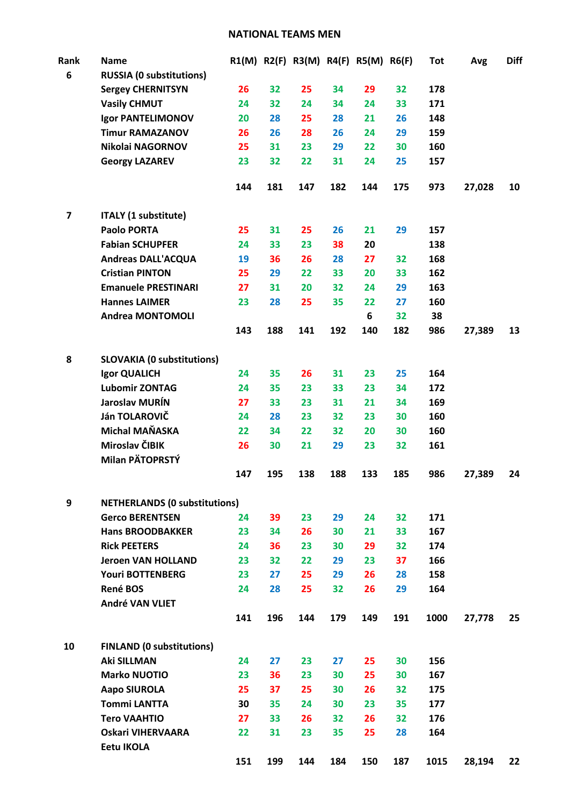#### **NATIONAL TEAMS MEN**

| Rank                    | <b>Name</b>                          |     |     |     |     | R1(M) R2(F) R3(M) R4(F) R5(M) R6(F) |     | <b>Tot</b> | Avg    | <b>Diff</b> |
|-------------------------|--------------------------------------|-----|-----|-----|-----|-------------------------------------|-----|------------|--------|-------------|
| 6                       | <b>RUSSIA (0 substitutions)</b>      |     |     |     |     |                                     |     |            |        |             |
|                         | <b>Sergey CHERNITSYN</b>             | 26  | 32  | 25  | 34  | 29                                  | 32  | 178        |        |             |
|                         | <b>Vasily CHMUT</b>                  | 24  | 32  | 24  | 34  | 24                                  | 33  | 171        |        |             |
|                         | <b>Igor PANTELIMONOV</b>             | 20  | 28  | 25  | 28  | 21                                  | 26  | 148        |        |             |
|                         | <b>Timur RAMAZANOV</b>               | 26  | 26  | 28  | 26  | 24                                  | 29  | 159        |        |             |
|                         | Nikolai NAGORNOV                     | 25  | 31  | 23  | 29  | 22                                  | 30  | 160        |        |             |
|                         | <b>Georgy LAZAREV</b>                | 23  | 32  | 22  | 31  | 24                                  | 25  | 157        |        |             |
|                         |                                      | 144 | 181 | 147 | 182 | 144                                 | 175 | 973        | 27,028 | 10          |
| $\overline{\mathbf{z}}$ | <b>ITALY (1 substitute)</b>          |     |     |     |     |                                     |     |            |        |             |
|                         | <b>Paolo PORTA</b>                   | 25  | 31  | 25  | 26  | 21                                  | 29  | 157        |        |             |
|                         | <b>Fabian SCHUPFER</b>               | 24  | 33  | 23  | 38  | 20                                  |     | 138        |        |             |
|                         | <b>Andreas DALL'ACQUA</b>            | 19  | 36  | 26  | 28  | 27                                  | 32  | 168        |        |             |
|                         | <b>Cristian PINTON</b>               | 25  | 29  | 22  | 33  | 20                                  | 33  | 162        |        |             |
|                         | <b>Emanuele PRESTINARI</b>           | 27  | 31  | 20  | 32  | 24                                  | 29  | 163        |        |             |
|                         | <b>Hannes LAIMER</b>                 | 23  | 28  | 25  | 35  | 22                                  | 27  | 160        |        |             |
|                         | <b>Andrea MONTOMOLI</b>              |     |     |     |     | 6                                   | 32  | 38         |        |             |
|                         |                                      | 143 | 188 | 141 | 192 | 140                                 | 182 | 986        | 27,389 | 13          |
| 8                       | <b>SLOVAKIA (0 substitutions)</b>    |     |     |     |     |                                     |     |            |        |             |
|                         | Igor QUALICH                         | 24  | 35  | 26  | 31  | 23                                  | 25  | 164        |        |             |
|                         | <b>Lubomir ZONTAG</b>                | 24  | 35  | 23  | 33  | 23                                  | 34  | 172        |        |             |
|                         | Jaroslav MURÍN                       | 27  | 33  | 23  | 31  | 21                                  | 34  | 169        |        |             |
|                         | Ján TOLAROVIČ                        | 24  | 28  | 23  | 32  | 23                                  | 30  | 160        |        |             |
|                         | Michal MAŇASKA                       | 22  | 34  | 22  | 32  | 20                                  | 30  | 160        |        |             |
|                         | Miroslav ČIBIK                       | 26  | 30  | 21  | 29  | 23                                  | 32  | 161        |        |             |
|                         | Milan PÄTOPRSTÝ                      |     |     |     |     |                                     |     |            |        |             |
|                         |                                      | 147 | 195 | 138 | 188 | 133                                 | 185 | 986        | 27,389 | 24          |
| 9                       | <b>NETHERLANDS (0 substitutions)</b> |     |     |     |     |                                     |     |            |        |             |
|                         | <b>Gerco BERENTSEN</b>               | 24  | 39  | 23  | 29  | 24                                  | 32  | 171        |        |             |
|                         | <b>Hans BROODBAKKER</b>              | 23  | 34  | 26  | 30  | 21                                  | 33  | 167        |        |             |
|                         | <b>Rick PEETERS</b>                  | 24  | 36  | 23  | 30  | 29                                  | 32  | 174        |        |             |
|                         | <b>Jeroen VAN HOLLAND</b>            | 23  | 32  | 22  | 29  | 23                                  | 37  | 166        |        |             |
|                         | <b>Youri BOTTENBERG</b>              | 23  | 27  | 25  | 29  | 26                                  | 28  | 158        |        |             |
|                         | René BOS                             | 24  | 28  | 25  | 32  | 26                                  | 29  | 164        |        |             |
|                         | André VAN VLIET                      |     |     |     |     |                                     |     |            |        |             |
|                         |                                      | 141 | 196 | 144 | 179 | 149                                 | 191 | 1000       | 27,778 | 25          |
| 10                      | <b>FINLAND (0 substitutions)</b>     |     |     |     |     |                                     |     |            |        |             |
|                         | <b>Aki SILLMAN</b>                   | 24  | 27  | 23  | 27  | 25                                  | 30  | 156        |        |             |
|                         | <b>Marko NUOTIO</b>                  | 23  | 36  | 23  | 30  | 25                                  | 30  | 167        |        |             |
|                         | <b>Aapo SIUROLA</b>                  | 25  | 37  | 25  | 30  | 26                                  | 32  | 175        |        |             |
|                         | <b>Tommi LANTTA</b>                  | 30  | 35  | 24  | 30  | 23                                  | 35  | 177        |        |             |
|                         | <b>Tero VAAHTIO</b>                  | 27  | 33  | 26  | 32  | 26                                  | 32  | 176        |        |             |
|                         | <b>Oskari VIHERVAARA</b>             | 22  | 31  | 23  | 35  | 25                                  | 28  | 164        |        |             |
|                         | <b>Eetu IKOLA</b>                    |     |     |     |     |                                     |     |            |        |             |
|                         |                                      | 151 | 199 | 144 | 184 | 150                                 | 187 | 1015       | 28,194 | 22          |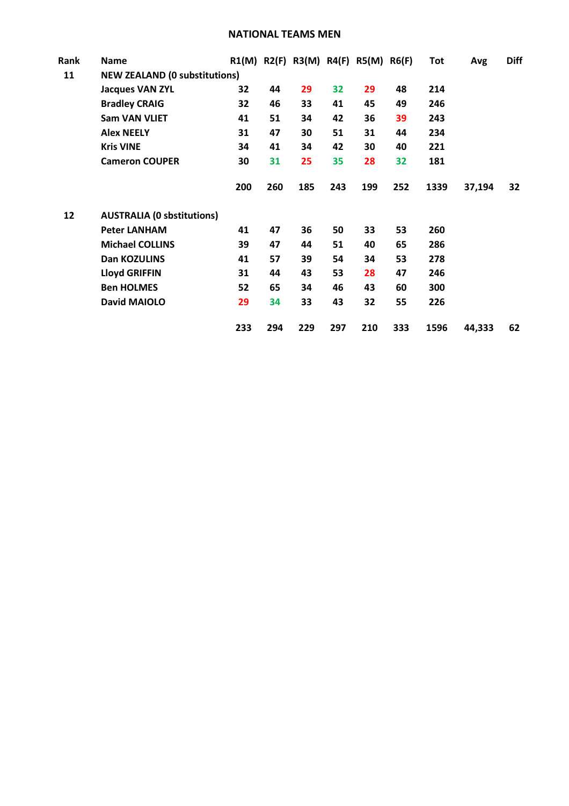#### **NATIONAL TEAMS MEN**

| Rank | Name                                 |     |     |     |     | $R1(M)$ R2(F) R3(M) R4(F) R5(M) R6(F) |     | Tot  | Avg    | <b>Diff</b> |
|------|--------------------------------------|-----|-----|-----|-----|---------------------------------------|-----|------|--------|-------------|
| 11   | <b>NEW ZEALAND (0 substitutions)</b> |     |     |     |     |                                       |     |      |        |             |
|      | <b>Jacques VAN ZYL</b>               | 32  | 44  | 29  | 32  | 29                                    | 48  | 214  |        |             |
|      | <b>Bradley CRAIG</b>                 | 32  | 46  | 33  | 41  | 45                                    | 49  | 246  |        |             |
|      | <b>Sam VAN VLIET</b>                 | 41  | 51  | 34  | 42  | 36                                    | 39  | 243  |        |             |
|      | <b>Alex NEELY</b>                    | 31  | 47  | 30  | 51  | 31                                    | 44  | 234  |        |             |
|      | <b>Kris VINE</b>                     | 34  | 41  | 34  | 42  | 30                                    | 40  | 221  |        |             |
|      | <b>Cameron COUPER</b>                | 30  | 31  | 25  | 35  | 28                                    | 32  | 181  |        |             |
|      |                                      | 200 | 260 | 185 | 243 | 199                                   | 252 | 1339 | 37,194 | 32          |
| 12   | <b>AUSTRALIA (0 sbstitutions)</b>    |     |     |     |     |                                       |     |      |        |             |
|      | <b>Peter LANHAM</b>                  | 41  | 47  | 36  | 50  | 33                                    | 53  | 260  |        |             |
|      | <b>Michael COLLINS</b>               | 39  | 47  | 44  | 51  | 40                                    | 65  | 286  |        |             |
|      | Dan KOZULINS                         | 41  | 57  | 39  | 54  | 34                                    | 53  | 278  |        |             |
|      | <b>Lloyd GRIFFIN</b>                 | 31  | 44  | 43  | 53  | 28                                    | 47  | 246  |        |             |
|      | <b>Ben HOLMES</b>                    | 52  | 65  | 34  | 46  | 43                                    | 60  | 300  |        |             |
|      | <b>David MAIOLO</b>                  | 29  | 34  | 33  | 43  | 32                                    | 55  | 226  |        |             |
|      |                                      | 233 | 294 | 229 | 297 | 210                                   | 333 | 1596 | 44.333 | 62          |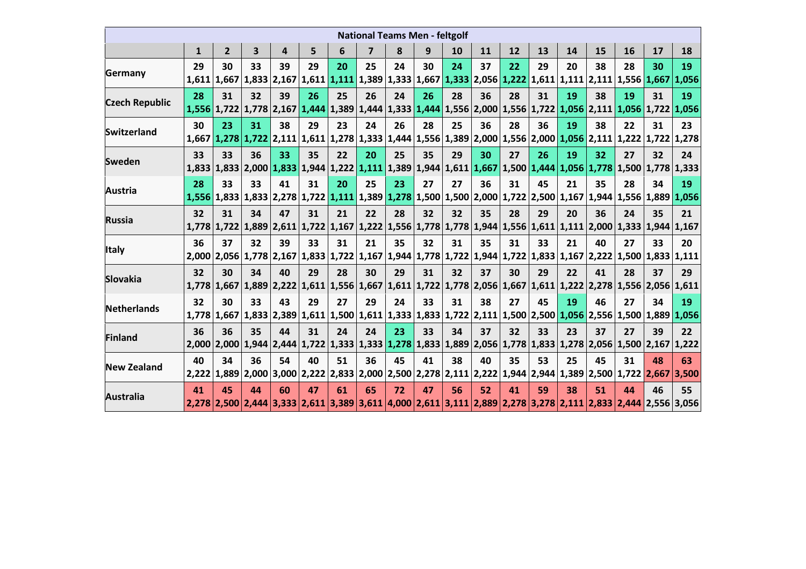| <b>National Teams Men - feltgolf</b> |             |                           |    |                                                                                                                                                                                                                                                                         |    |    |    |    |    |    |                                                                                                 |    |    |    |    |    |                         |    |
|--------------------------------------|-------------|---------------------------|----|-------------------------------------------------------------------------------------------------------------------------------------------------------------------------------------------------------------------------------------------------------------------------|----|----|----|----|----|----|-------------------------------------------------------------------------------------------------|----|----|----|----|----|-------------------------|----|
|                                      | 1           | $\mathbf{2}$              | 3  | 4                                                                                                                                                                                                                                                                       | 5  | 6  | 7  | 8  | 9  | 10 | 11                                                                                              | 12 | 13 | 14 | 15 | 16 | 17                      | 18 |
| <b>Germany</b>                       | 29<br>1,611 | 30                        | 33 | 39<br>1,667 1,833 2,167 1,611 1,111 1,389 1,333 1,667 1,333 2,056 1,222 1,611 1,111 2,111 1,556 1,667 1,056                                                                                                                                                             | 29 | 20 | 25 | 24 | 30 | 24 | 37                                                                                              | 22 | 29 | 20 | 38 | 28 | 30                      | 19 |
| <b>Czech Republic</b>                | 28          | 31                        | 32 | 39<br>$\left  1,556 \right  1,722 \left  1,778 \right  2,167 \left  1,444 \right  1,389 \left  1,444 \right  1,333 \left  1,444 \right  1,556 \left  2,000 \right  1,556 \left  1,722 \left  1,056 \right  2,111 \left  1,056 \right  1,722 \left  1,056 \right  1,056$ | 26 | 25 | 26 | 24 | 26 | 28 | 36                                                                                              | 28 | 31 | 19 | 38 | 19 | 31                      | 19 |
| <b>Switzerland</b>                   | 30          | 23                        | 31 | 38<br>1,667 1,278 1,722 2,111 1,611 1,278 1,333 1,444 1,556 1,389 2,000 1,556 2,000 1,056 2,111 1,222 1,722 1,278                                                                                                                                                       | 29 | 23 | 24 | 26 | 28 | 25 | 36                                                                                              | 28 | 36 | 19 | 38 | 22 | 31                      | 23 |
| <b>Sweden</b>                        | 33          | 33                        | 36 | 33<br>1,833   1,833   2,000   1,833   1,944   1,222   1,111   1,389   1,944   1,611   1,667   1,500   1,444   1,056   1,778   1,500   1,778   1,333                                                                                                                     | 35 | 22 | 20 | 25 | 35 | 29 | 30                                                                                              | 27 | 26 | 19 | 32 | 27 | 32                      | 24 |
| <b>Austria</b>                       | 28          | 33                        | 33 | 41<br>1,556 1,833 1,833 2,278 1,722 1,111 1,389 1,278 1,500 1,500 2,000 1,722 2,500 1,167 1,944                                                                                                                                                                         | 31 | 20 | 25 | 23 | 27 | 27 | 36                                                                                              | 31 | 45 | 21 | 35 | 28 | 34<br>1,556 1,889 1,056 | 19 |
| <b>Russia</b>                        | 32          | 31<br>$1,778$ 1,722 1,889 | 34 | 47                                                                                                                                                                                                                                                                      | 31 | 21 | 22 | 28 | 32 | 32 | 35<br>2,611 1,722 1,167 1,222 1,556 1,778 1,778 1,944 1,556 1,611 1,111 2,000 1,333 1,944 1,167 | 28 | 29 | 20 | 36 | 24 | 35                      | 21 |
| <b>Italy</b>                         | 36          | 37                        | 32 | 39<br>2,000 2,056 1,778 2,167 1,833 1,722 1,167 1,944 1,778 1,722 1,944 1,722 1,833 1,167 2,222 1,500 1,833 1,111                                                                                                                                                       | 33 | 31 | 21 | 35 | 32 | 31 | 35                                                                                              | 31 | 33 | 21 | 40 | 27 | 33                      | 20 |
| <b>Slovakia</b>                      | 32<br>1.778 | 30                        | 34 | 40<br>$1,667$   $1,889$   $2,222$   $1,611$   $1,556$   $1,667$   $1,611$   $1,722$   $1,778$   $2,056$   $1,667$   $1,611$   $1,222$   $2,278$   $1,556$   $2,056$   $1,611$                                                                                           | 29 | 28 | 30 | 29 | 31 | 32 | 37                                                                                              | 30 | 29 | 22 | 41 | 28 | 37                      | 29 |
| <b>Netherlands</b>                   | 32          | 30                        | 33 | 43<br>1,778 1,667 1,833 2,389 1,611 1,500 1,611 1,333 1,833 1,722 2,111 1,500 2,500 1,056 2,556 1,500 1,889 1,056                                                                                                                                                       | 29 | 27 | 29 | 24 | 33 | 31 | 38                                                                                              | 27 | 45 | 19 | 46 | 27 | 34                      | 19 |
| <b>Finland</b>                       | 36<br>2.000 | 36                        | 35 | 44<br> 2,000   1,944   2,444   1,722   1,333   1,333   1,278   1,833   1,889   2,056   1,778   1,833   1,278   2,056   1,500   2,167   1,222                                                                                                                            | 31 | 24 | 24 | 23 | 33 | 34 | 37                                                                                              | 32 | 33 | 23 | 37 | 27 | 39                      | 22 |
| <b>New Zealand</b>                   | 40<br>2,222 | 34                        | 36 | 54<br>1,889 2,000 3,000 2,222 2,833 2,000 2,500 2,278 2,111 2,222 1,944 2,944 1,389 2,500 1,722 2,667 3,500                                                                                                                                                             | 40 | 51 | 36 | 45 | 41 | 38 | 40                                                                                              | 35 | 53 | 25 | 45 | 31 | 48                      | 63 |
| <b>Australia</b>                     | 41          | 45                        | 44 | 60<br> 2,278   2,500   2,444   3,333   2,611   3,389   3,611   4,000   2,611   3,111   2,889   2,278   3,278   2,111   2,833   2,444   2,556   3,056                                                                                                                    | 47 | 61 | 65 | 72 | 47 | 56 | 52                                                                                              | 41 | 59 | 38 | 51 | 44 | 46                      | 55 |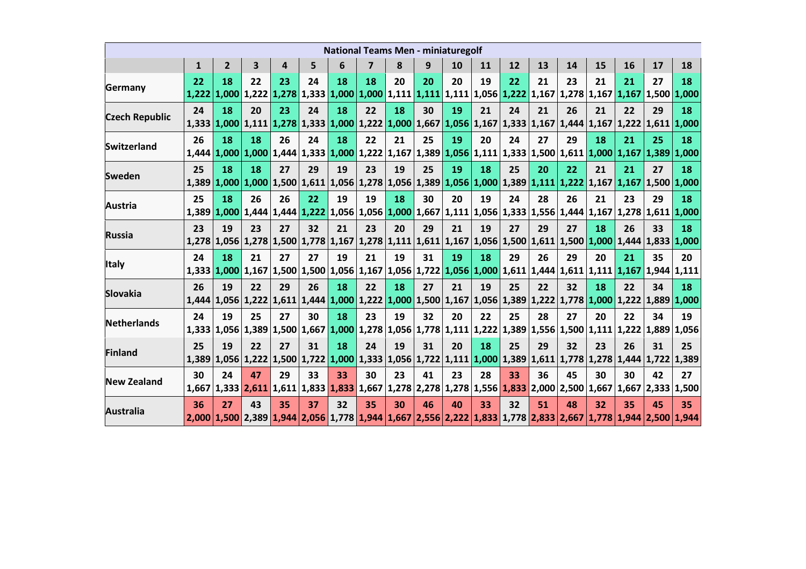| <b>National Teams Men - miniaturegolf</b> |              |                |                         |                                                                                                                                                     |    |    |                         |    |    |    |    |    |    |    |    |             |                           |                   |
|-------------------------------------------|--------------|----------------|-------------------------|-----------------------------------------------------------------------------------------------------------------------------------------------------|----|----|-------------------------|----|----|----|----|----|----|----|----|-------------|---------------------------|-------------------|
|                                           | $\mathbf{1}$ | $\overline{2}$ | $\overline{\mathbf{3}}$ | 4                                                                                                                                                   | 5  | 6  | $\overline{\mathbf{z}}$ | 8  | 9  | 10 | 11 | 12 | 13 | 14 | 15 | 16          | 17                        | 18                |
| Germany                                   | 22<br>1.222  | 18             | 22                      | 23<br>1,000 1,222 1,278 1,333 1,000 1,000 1,111 1,111 1,111 1,056 1,222 1,167 1,278 1,167 1,167 1,500 1,000                                         | 24 | 18 | 18                      | 20 | 20 | 20 | 19 | 22 | 21 | 23 | 21 | 21          | 27                        | 18                |
| <b>Czech Republic</b>                     | 24           | 18             | 20                      | 23<br>1,333 1,000 1,111 1,278 1,333 1,000 1,222 1,000 1,667 1,056 1,167 1,333 1,167 1,444 1,167 1,222 1,611 1,000                                   | 24 | 18 | 22                      | 18 | 30 | 19 | 21 | 24 | 21 | 26 | 21 | 22          | 29                        | 18                |
| Switzerland                               | 26<br>1,444  | 18<br>1,000    | 18                      | 26<br>$1,000$ $1,444$ $1,333$ $1,000$ $1,222$ $1,167$ $1,389$ $1,056$ $1,111$ $1,333$ $1,500$ $1,611$ $1,000$ $1,167$                               | 24 | 18 | 22                      | 21 | 25 | 19 | 20 | 24 | 27 | 29 | 18 | 21          | 25<br>$1,389$ 1,000       | 18                |
| <b>Sweden</b>                             | 25           | 18             | 18                      | 27<br>1,389 1,000 1,000 1,500 1,611 1,056 1,278 1,056 1,389 1,056 1,000 1,389 1,111 1,222 1,167 1,167                                               | 29 | 19 | 23                      | 19 | 25 | 19 | 18 | 25 | 20 | 22 | 21 | 21          | 27                        | 18<br>1,500 1,000 |
| <b>Austria</b>                            | 25           | 18             | 26                      | 26<br>1,389 1,000 1,444 1,444 1,222 1,056 1,056 1,000 1,667 1,111 1,056 1,333 1,556 1,444 1,167                                                     | 22 | 19 | 19                      | 18 | 30 | 20 | 19 | 24 | 28 | 26 | 21 | 23          | 29<br>$1,278$ 1,611 1,000 | 18                |
| <b>Russia</b>                             | 23           | 19             | 23                      | 27<br>1,278 1,056 1,278 1,500 1,778 1,167 1,278 1,111 1,611 1,167 1,056 1,500 1,611 1,500 1,000 1,444 1,833 1,000                                   | 32 | 21 | 23                      | 20 | 29 | 21 | 19 | 27 | 29 | 27 | 18 | 26          | 33                        | 18                |
| <b>Italy</b>                              | 24           | 18             | 21                      | 27<br>1,333   1,000   1,167   1,500   1,500   1,056   1,167   1,056   1,722   1,056   1,000   1,611   1,444   1,611   1,111   1,167                 | 27 | 19 | 21                      | 19 | 31 | 19 | 18 | 29 | 26 | 29 | 20 | 21          | 35<br> 1,944 1,111        | 20                |
| <b>Slovakia</b>                           | 26<br>1.444  | 19             | 22                      | 29<br>$1,056$ $1,222$ $1,611$ $1,444$ $1,000$ $1,222$ $1,000$ $1,500$ $1,167$ $1,056$ $1,389$ $1,222$ $1,778$ $1,000$ $1,222$ $1,889$ $1,000$       | 26 | 18 | 22                      | 18 | 27 | 21 | 19 | 25 | 22 | 32 | 18 | 22          | 34                        | 18                |
| <b>Netherlands</b>                        | 24           | 19             | 25                      | 27<br>1,333   1,056   1,389   1,500   1,667   1,000   1,278   1,056   1,778   1,111   1,222   1,389   1,556   1,500   1,111   1,222   1,889   1,056 | 30 | 18 | 23                      | 19 | 32 | 20 | 22 | 25 | 28 | 27 | 20 | 22          | 34                        | 19                |
| <b>Finland</b>                            | 25<br>1,389  | 19             | 22                      | 27<br>1,056 1,222 1,500 1,722 1,000 1,333 1,056 1,722 1,111 1,000 1,389 1,611 1,778 1,278 1,444 1,722 1,389                                         | 31 | 18 | 24                      | 19 | 31 | 20 | 18 | 25 | 29 | 32 | 23 | 26          | 31                        | 25                |
| <b>New Zealand</b>                        | 30<br>1,667  | 24             | 47                      | 29<br>1,333 2,611 1,611 1,833 1,833 1,667 1,278 2,278 1,278 1,556 1,833 2,000 2,500 1,667                                                           | 33 | 33 | 30                      | 23 | 41 | 23 | 28 | 33 | 36 | 45 | 30 | 30<br>1,667 | 42<br> 2,333 1,500        | 27                |
| <b>Australia</b>                          | 36           | 27             | 43                      | 35<br>2,000 1,500 2,389 1,944 2,056 1,778 1,944 1,667 2,556 2,222 1,833 1,778 2,833 2,667 1,778 1,944 2,500 1,944                                   | 37 | 32 | 35                      | 30 | 46 | 40 | 33 | 32 | 51 | 48 | 32 | 35          | 45                        | 35                |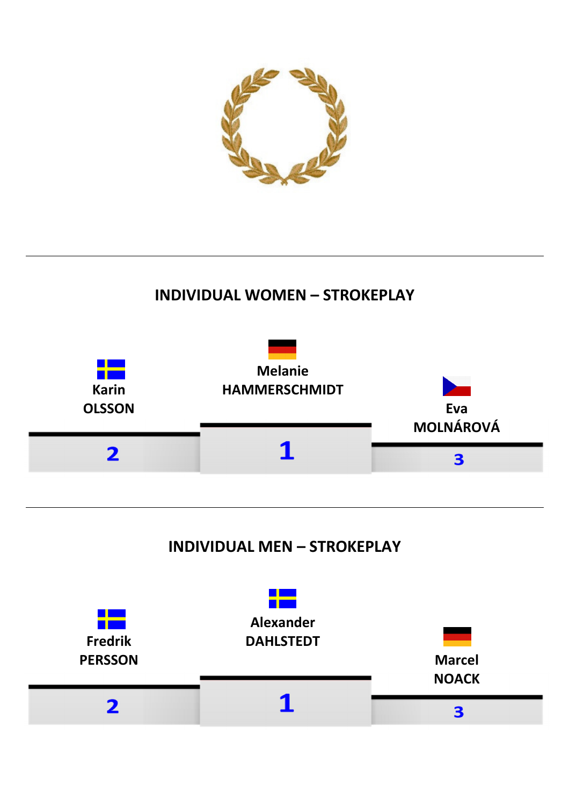

## **INDIVIDUAL WOMEN – STROKEPLAY**



## **INDIVIDUAL MEN – STROKEPLAY**

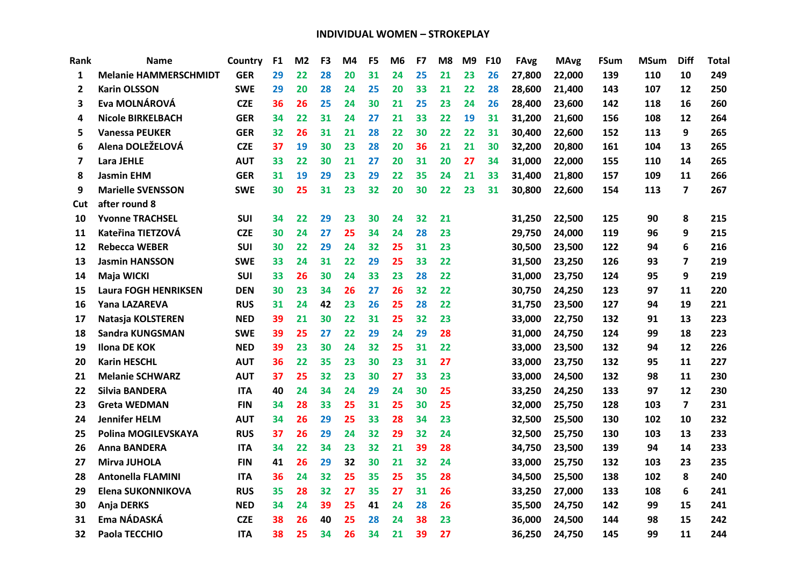| Rank         | Name                         | Country    | F <sub>1</sub> | M <sub>2</sub> | F <sub>3</sub> | M4 | F <sub>5</sub> | M <sub>6</sub> | F7 | M8 | M <sub>9</sub> | F10 | <b>FAvg</b> | <b>MAvg</b> | <b>FSum</b> | <b>MSum</b> | <b>Diff</b>             | <b>Total</b> |
|--------------|------------------------------|------------|----------------|----------------|----------------|----|----------------|----------------|----|----|----------------|-----|-------------|-------------|-------------|-------------|-------------------------|--------------|
| 1            | <b>Melanie HAMMERSCHMIDT</b> | <b>GER</b> | 29             | 22             | 28             | 20 | 31             | 24             | 25 | 21 | 23             | 26  | 27,800      | 22,000      | 139         | 110         | 10                      | 249          |
| $\mathbf{2}$ | <b>Karin OLSSON</b>          | <b>SWE</b> | 29             | 20             | 28             | 24 | 25             | 20             | 33 | 21 | 22             | 28  | 28,600      | 21,400      | 143         | 107         | 12                      | 250          |
| 3            | Eva MOLNÁROVÁ                | <b>CZE</b> | 36             | 26             | 25             | 24 | 30             | 21             | 25 | 23 | 24             | 26  | 28,400      | 23,600      | 142         | 118         | 16                      | 260          |
| 4            | <b>Nicole BIRKELBACH</b>     | <b>GER</b> | 34             | 22             | 31             | 24 | 27             | 21             | 33 | 22 | 19             | 31  | 31,200      | 21,600      | 156         | 108         | 12                      | 264          |
| 5            | <b>Vanessa PEUKER</b>        | <b>GER</b> | 32             | 26             | 31             | 21 | 28             | 22             | 30 | 22 | 22             | 31  | 30,400      | 22,600      | 152         | 113         | 9                       | 265          |
| 6            | Alena DOLEŽELOVÁ             | <b>CZE</b> | 37             | 19             | 30             | 23 | 28             | 20             | 36 | 21 | 21             | 30  | 32,200      | 20,800      | 161         | 104         | 13                      | 265          |
| 7            | <b>Lara JEHLE</b>            | <b>AUT</b> | 33             | 22             | 30             | 21 | 27             | 20             | 31 | 20 | 27             | 34  | 31,000      | 22,000      | 155         | 110         | 14                      | 265          |
| 8            | <b>Jasmin EHM</b>            | <b>GER</b> | 31             | 19             | 29             | 23 | 29             | 22             | 35 | 24 | 21             | 33  | 31,400      | 21,800      | 157         | 109         | 11                      | 266          |
| 9            | <b>Marielle SVENSSON</b>     | <b>SWE</b> | 30             | 25             | 31             | 23 | 32             | 20             | 30 | 22 | 23             | 31  | 30,800      | 22,600      | 154         | 113         | $\overline{7}$          | 267          |
| Cut          | after round 8                |            |                |                |                |    |                |                |    |    |                |     |             |             |             |             |                         |              |
| 10           | <b>Yvonne TRACHSEL</b>       | <b>SUI</b> | 34             | 22             | 29             | 23 | 30             | 24             | 32 | 21 |                |     | 31,250      | 22,500      | 125         | 90          | 8                       | 215          |
| 11           | Kateřina TIETZOVÁ            | <b>CZE</b> | 30             | 24             | 27             | 25 | 34             | 24             | 28 | 23 |                |     | 29,750      | 24,000      | 119         | 96          | 9                       | 215          |
| 12           | <b>Rebecca WEBER</b>         | <b>SUI</b> | 30             | 22             | 29             | 24 | 32             | 25             | 31 | 23 |                |     | 30,500      | 23,500      | 122         | 94          | 6                       | 216          |
| 13           | <b>Jasmin HANSSON</b>        | <b>SWE</b> | 33             | 24             | 31             | 22 | 29             | 25             | 33 | 22 |                |     | 31,500      | 23,250      | 126         | 93          | $\overline{\mathbf{z}}$ | 219          |
| 14           | Maja WICKI                   | <b>SUI</b> | 33             | 26             | 30             | 24 | 33             | 23             | 28 | 22 |                |     | 31,000      | 23,750      | 124         | 95          | 9                       | 219          |
| 15           | <b>Laura FOGH HENRIKSEN</b>  | <b>DEN</b> | 30             | 23             | 34             | 26 | 27             | 26             | 32 | 22 |                |     | 30,750      | 24,250      | 123         | 97          | 11                      | 220          |
| 16           | Yana LAZAREVA                | <b>RUS</b> | 31             | 24             | 42             | 23 | 26             | 25             | 28 | 22 |                |     | 31,750      | 23,500      | 127         | 94          | 19                      | 221          |
| 17           | Natasja KOLSTEREN            | <b>NED</b> | 39             | 21             | 30             | 22 | 31             | 25             | 32 | 23 |                |     | 33,000      | 22,750      | 132         | 91          | 13                      | 223          |
| 18           | <b>Sandra KUNGSMAN</b>       | <b>SWE</b> | 39             | 25             | 27             | 22 | 29             | 24             | 29 | 28 |                |     | 31,000      | 24,750      | 124         | 99          | 18                      | 223          |
| 19           | <b>Ilona DE KOK</b>          | <b>NED</b> | 39             | 23             | 30             | 24 | 32             | 25             | 31 | 22 |                |     | 33,000      | 23,500      | 132         | 94          | 12                      | 226          |
| 20           | <b>Karin HESCHL</b>          | <b>AUT</b> | 36             | 22             | 35             | 23 | 30             | 23             | 31 | 27 |                |     | 33,000      | 23,750      | 132         | 95          | 11                      | 227          |
| 21           | <b>Melanie SCHWARZ</b>       | <b>AUT</b> | 37             | 25             | 32             | 23 | 30             | 27             | 33 | 23 |                |     | 33,000      | 24,500      | 132         | 98          | 11                      | 230          |
| 22           | Silvia BANDERA               | <b>ITA</b> | 40             | 24             | 34             | 24 | 29             | 24             | 30 | 25 |                |     | 33,250      | 24,250      | 133         | 97          | 12                      | 230          |
| 23           | <b>Greta WEDMAN</b>          | <b>FIN</b> | 34             | 28             | 33             | 25 | 31             | 25             | 30 | 25 |                |     | 32,000      | 25,750      | 128         | 103         | $\overline{\mathbf{z}}$ | 231          |
| 24           | <b>Jennifer HELM</b>         | <b>AUT</b> | 34             | 26             | 29             | 25 | 33             | 28             | 34 | 23 |                |     | 32,500      | 25,500      | 130         | 102         | 10                      | 232          |
| 25           | Polina MOGILEVSKAYA          | <b>RUS</b> | 37             | 26             | 29             | 24 | 32             | 29             | 32 | 24 |                |     | 32,500      | 25,750      | 130         | 103         | 13                      | 233          |
| 26           | <b>Anna BANDERA</b>          | <b>ITA</b> | 34             | 22             | 34             | 23 | 32             | 21             | 39 | 28 |                |     | 34,750      | 23,500      | 139         | 94          | 14                      | 233          |
| 27           | <b>Mirva JUHOLA</b>          | <b>FIN</b> | 41             | 26             | 29             | 32 | 30             | 21             | 32 | 24 |                |     | 33,000      | 25,750      | 132         | 103         | 23                      | 235          |
| 28           | <b>Antonella FLAMINI</b>     | <b>ITA</b> | 36             | 24             | 32             | 25 | 35             | 25             | 35 | 28 |                |     | 34,500      | 25,500      | 138         | 102         | 8                       | 240          |
| 29           | Elena SUKONNIKOVA            | <b>RUS</b> | 35             | 28             | 32             | 27 | 35             | 27             | 31 | 26 |                |     | 33,250      | 27,000      | 133         | 108         | 6                       | 241          |
| 30           | Anja DERKS                   | <b>NED</b> | 34             | 24             | 39             | 25 | 41             | 24             | 28 | 26 |                |     | 35,500      | 24,750      | 142         | 99          | 15                      | 241          |
| 31           | Ema NÁDASKÁ                  | <b>CZE</b> | 38             | 26             | 40             | 25 | 28             | 24             | 38 | 23 |                |     | 36,000      | 24,500      | 144         | 98          | 15                      | 242          |
| 32           | Paola TECCHIO                | <b>ITA</b> | 38             | 25             | 34             | 26 | 34             | 21             | 39 | 27 |                |     | 36,250      | 24,750      | 145         | 99          | 11                      | 244          |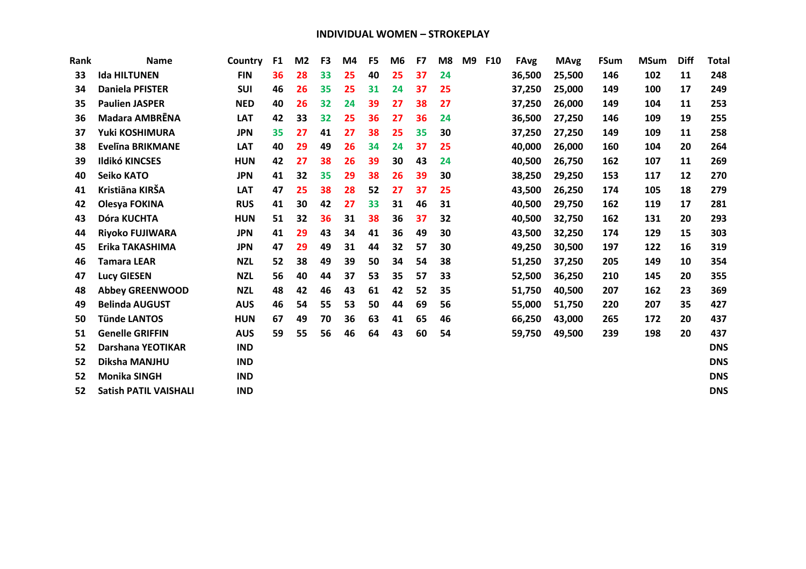| <b>Name</b>                  | Country    | F <sub>1</sub> | M <sub>2</sub> | F <sub>3</sub> | M4 | F <sub>5</sub> | M <sub>6</sub> | F7 | M <sub>8</sub> | M <sub>9</sub> | F10 | <b>FAvg</b> | <b>MAvg</b> | <b>FSum</b> | <b>MSum</b> | <b>Diff</b> | <b>Total</b> |
|------------------------------|------------|----------------|----------------|----------------|----|----------------|----------------|----|----------------|----------------|-----|-------------|-------------|-------------|-------------|-------------|--------------|
| <b>Ida HILTUNEN</b>          | <b>FIN</b> | 36             | 28             | 33             | 25 | 40             | 25             | 37 | 24             |                |     | 36,500      | 25,500      | 146         | 102         | 11          | 248          |
| <b>Daniela PFISTER</b>       | <b>SUI</b> | 46             | 26             | 35             | 25 | 31             | 24             | 37 | 25             |                |     | 37,250      | 25,000      | 149         | 100         | 17          | 249          |
| <b>Paulien JASPER</b>        | <b>NED</b> | 40             | 26             | 32             | 24 | 39             | 27             | 38 | 27             |                |     | 37,250      | 26,000      | 149         | 104         | 11          | 253          |
| <b>Madara AMBRENA</b>        | <b>LAT</b> | 42             | 33             | 32             | 25 | 36             | 27             | 36 | 24             |                |     | 36,500      | 27,250      | 146         | 109         | 19          | 255          |
| Yuki KOSHIMURA               | <b>JPN</b> | 35             | 27             | 41             | 27 | 38             | 25             | 35 | 30             |                |     | 37,250      | 27,250      | 149         | 109         | 11          | 258          |
| <b>Evelina BRIKMANE</b>      | <b>LAT</b> | 40             | 29             | 49             | 26 | 34             | 24             | 37 | 25             |                |     | 40,000      | 26,000      | 160         | 104         | 20          | 264          |
| <b>Ildikó KINCSES</b>        | <b>HUN</b> | 42             | 27             | 38             | 26 | 39             | 30             | 43 | 24             |                |     | 40,500      | 26,750      | 162         | 107         | 11          | 269          |
| <b>Seiko KATO</b>            | <b>JPN</b> | 41             | 32             | 35             | 29 | 38             | 26             | 39 | 30             |                |     | 38,250      | 29,250      | 153         | 117         | 12          | 270          |
| Kristiāna KIRŠA              | <b>LAT</b> | 47             | 25             | 38             | 28 | 52             | 27             | 37 | 25             |                |     | 43,500      | 26,250      | 174         | 105         | 18          | 279          |
| Olesya FOKINA                | <b>RUS</b> | 41             | 30             | 42             | 27 | 33             | 31             | 46 | 31             |                |     | 40,500      | 29,750      | 162         | 119         | 17          | 281          |
| Dóra KUCHTA                  | <b>HUN</b> | 51             | 32             | 36             | 31 | 38             | 36             | 37 | 32             |                |     | 40,500      | 32,750      | 162         | 131         | 20          | 293          |
| <b>Rivoko FUJIWARA</b>       | <b>JPN</b> | 41             | 29             | 43             | 34 | 41             | 36             | 49 | 30             |                |     | 43,500      | 32,250      | 174         | 129         | 15          | 303          |
| Erika TAKASHIMA              | <b>JPN</b> | 47             | 29             | 49             | 31 | 44             | 32             | 57 | 30             |                |     | 49,250      | 30,500      | 197         | 122         | 16          | 319          |
| <b>Tamara LEAR</b>           | <b>NZL</b> | 52             | 38             | 49             | 39 | 50             | 34             | 54 | 38             |                |     | 51,250      | 37,250      | 205         | 149         | 10          | 354          |
| <b>Lucy GIESEN</b>           | <b>NZL</b> | 56             | 40             | 44             | 37 | 53             | 35             | 57 | 33             |                |     | 52,500      | 36,250      | 210         | 145         | 20          | 355          |
| <b>Abbey GREENWOOD</b>       | <b>NZL</b> | 48             | 42             | 46             | 43 | 61             | 42             | 52 | 35             |                |     | 51,750      | 40,500      | 207         | 162         | 23          | 369          |
| <b>Belinda AUGUST</b>        | <b>AUS</b> | 46             | 54             | 55             | 53 | 50             | 44             | 69 | 56             |                |     | 55,000      | 51,750      | 220         | 207         | 35          | 427          |
| <b>Tünde LANTOS</b>          | <b>HUN</b> | 67             | 49             | 70             | 36 | 63             | 41             | 65 | 46             |                |     | 66,250      | 43,000      | 265         | 172         | 20          | 437          |
| <b>Genelle GRIFFIN</b>       | <b>AUS</b> | 59             | 55             | 56             | 46 | 64             | 43             | 60 | 54             |                |     | 59,750      | 49,500      | 239         | 198         | 20          | 437          |
| Darshana YEOTIKAR            | <b>IND</b> |                |                |                |    |                |                |    |                |                |     |             |             |             |             |             | <b>DNS</b>   |
| Diksha MANJHU                | <b>IND</b> |                |                |                |    |                |                |    |                |                |     |             |             |             |             |             | <b>DNS</b>   |
| <b>Monika SINGH</b>          | <b>IND</b> |                |                |                |    |                |                |    |                |                |     |             |             |             |             |             | <b>DNS</b>   |
| <b>Satish PATIL VAISHALI</b> | <b>IND</b> |                |                |                |    |                |                |    |                |                |     |             |             |             |             |             | <b>DNS</b>   |
|                              |            |                |                |                |    |                |                |    |                |                |     |             |             |             |             |             |              |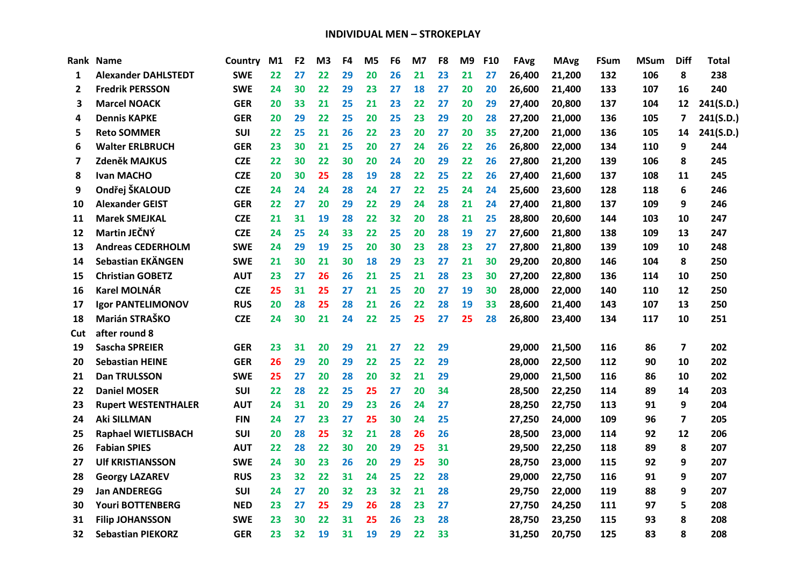| Rank | <b>Name</b>                | Country    | M <sub>1</sub> | F <sub>2</sub> | M <sub>3</sub> | F4 | M5 | F6 | M7 | F <sub>8</sub> | M9 | F <sub>10</sub> | <b>FAvg</b> | <b>MAvg</b> | <b>FSum</b> | <b>MSum</b> | <b>Diff</b>             | Total     |
|------|----------------------------|------------|----------------|----------------|----------------|----|----|----|----|----------------|----|-----------------|-------------|-------------|-------------|-------------|-------------------------|-----------|
| 1    | <b>Alexander DAHLSTEDT</b> | <b>SWE</b> | 22             | 27             | 22             | 29 | 20 | 26 | 21 | 23             | 21 | 27              | 26,400      | 21,200      | 132         | 106         | 8                       | 238       |
| 2    | <b>Fredrik PERSSON</b>     | <b>SWE</b> | 24             | 30             | 22             | 29 | 23 | 27 | 18 | 27             | 20 | 20              | 26,600      | 21,400      | 133         | 107         | 16                      | 240       |
| 3    | <b>Marcel NOACK</b>        | <b>GER</b> | 20             | 33             | 21             | 25 | 21 | 23 | 22 | 27             | 20 | 29              | 27,400      | 20,800      | 137         | 104         | 12                      | 241(S.D.) |
| 4    | <b>Dennis KAPKE</b>        | <b>GER</b> | 20             | 29             | 22             | 25 | 20 | 25 | 23 | 29             | 20 | 28              | 27,200      | 21,000      | 136         | 105         | 7                       | 241(S.D.) |
| 5    | <b>Reto SOMMER</b>         | SUI        | 22             | 25             | 21             | 26 | 22 | 23 | 20 | 27             | 20 | 35              | 27,200      | 21,000      | 136         | 105         | 14                      | 241(S.D.) |
| 6    | <b>Walter ERLBRUCH</b>     | <b>GER</b> | 23             | 30             | 21             | 25 | 20 | 27 | 24 | 26             | 22 | 26              | 26,800      | 22,000      | 134         | 110         | 9                       | 244       |
| 7    | Zdeněk MAJKUS              | <b>CZE</b> | 22             | 30             | 22             | 30 | 20 | 24 | 20 | 29             | 22 | 26              | 27,800      | 21,200      | 139         | 106         | 8                       | 245       |
| 8    | <b>Ivan MACHO</b>          | <b>CZE</b> | 20             | 30             | 25             | 28 | 19 | 28 | 22 | 25             | 22 | 26              | 27,400      | 21,600      | 137         | 108         | 11                      | 245       |
| 9    | Ondřej ŠKALOUD             | <b>CZE</b> | 24             | 24             | 24             | 28 | 24 | 27 | 22 | 25             | 24 | 24              | 25,600      | 23,600      | 128         | 118         | 6                       | 246       |
| 10   | <b>Alexander GEIST</b>     | <b>GER</b> | 22             | 27             | 20             | 29 | 22 | 29 | 24 | 28             | 21 | 24              | 27,400      | 21,800      | 137         | 109         | 9                       | 246       |
| 11   | <b>Marek SMEJKAL</b>       | <b>CZE</b> | 21             | 31             | 19             | 28 | 22 | 32 | 20 | 28             | 21 | 25              | 28,800      | 20,600      | 144         | 103         | 10                      | 247       |
| 12   | Martin JEČNÝ               | <b>CZE</b> | 24             | 25             | 24             | 33 | 22 | 25 | 20 | 28             | 19 | 27              | 27,600      | 21,800      | 138         | 109         | 13                      | 247       |
| 13   | <b>Andreas CEDERHOLM</b>   | <b>SWE</b> | 24             | 29             | 19             | 25 | 20 | 30 | 23 | 28             | 23 | 27              | 27,800      | 21,800      | 139         | 109         | 10                      | 248       |
| 14   | Sebastian EKÄNGEN          | <b>SWE</b> | 21             | 30             | 21             | 30 | 18 | 29 | 23 | 27             | 21 | 30              | 29,200      | 20,800      | 146         | 104         | 8                       | 250       |
| 15   | <b>Christian GOBETZ</b>    | <b>AUT</b> | 23             | 27             | 26             | 26 | 21 | 25 | 21 | 28             | 23 | 30              | 27,200      | 22,800      | 136         | 114         | 10                      | 250       |
| 16   | <b>Karel MOLNÁR</b>        | <b>CZE</b> | 25             | 31             | 25             | 27 | 21 | 25 | 20 | 27             | 19 | 30              | 28,000      | 22,000      | 140         | 110         | 12                      | 250       |
| 17   | <b>Igor PANTELIMONOV</b>   | <b>RUS</b> | 20             | 28             | 25             | 28 | 21 | 26 | 22 | 28             | 19 | 33              | 28,600      | 21,400      | 143         | 107         | 13                      | 250       |
| 18   | Marián STRAŠKO             | <b>CZE</b> | 24             | 30             | 21             | 24 | 22 | 25 | 25 | 27             | 25 | 28              | 26,800      | 23,400      | 134         | 117         | 10                      | 251       |
| Cut  | after round 8              |            |                |                |                |    |    |    |    |                |    |                 |             |             |             |             |                         |           |
| 19   | <b>Sascha SPREIER</b>      | <b>GER</b> | 23             | 31             | 20             | 29 | 21 | 27 | 22 | 29             |    |                 | 29,000      | 21,500      | 116         | 86          | $\overline{7}$          | 202       |
| 20   | <b>Sebastian HEINE</b>     | <b>GER</b> | 26             | 29             | 20             | 29 | 22 | 25 | 22 | 29             |    |                 | 28,000      | 22,500      | 112         | 90          | 10                      | 202       |
| 21   | <b>Dan TRULSSON</b>        | <b>SWE</b> | 25             | 27             | 20             | 28 | 20 | 32 | 21 | 29             |    |                 | 29,000      | 21,500      | 116         | 86          | 10                      | 202       |
| 22   | <b>Daniel MOSER</b>        | <b>SUI</b> | 22             | 28             | 22             | 25 | 25 | 27 | 20 | 34             |    |                 | 28,500      | 22,250      | 114         | 89          | 14                      | 203       |
| 23   | <b>Rupert WESTENTHALER</b> | <b>AUT</b> | 24             | 31             | 20             | 29 | 23 | 26 | 24 | 27             |    |                 | 28,250      | 22,750      | 113         | 91          | 9                       | 204       |
| 24   | <b>Aki SILLMAN</b>         | <b>FIN</b> | 24             | 27             | 23             | 27 | 25 | 30 | 24 | 25             |    |                 | 27,250      | 24,000      | 109         | 96          | $\overline{\mathbf{z}}$ | 205       |
| 25   | <b>Raphael WIETLISBACH</b> | <b>SUI</b> | 20             | 28             | 25             | 32 | 21 | 28 | 26 | 26             |    |                 | 28,500      | 23,000      | 114         | 92          | 12                      | 206       |
| 26   | <b>Fabian SPIES</b>        | <b>AUT</b> | 22             | 28             | 22             | 30 | 20 | 29 | 25 | 31             |    |                 | 29,500      | 22,250      | 118         | 89          | 8                       | 207       |
| 27   | <b>UIf KRISTIANSSON</b>    | <b>SWE</b> | 24             | 30             | 23             | 26 | 20 | 29 | 25 | 30             |    |                 | 28,750      | 23,000      | 115         | 92          | 9                       | 207       |
| 28   | <b>Georgy LAZAREV</b>      | <b>RUS</b> | 23             | 32             | 22             | 31 | 24 | 25 | 22 | 28             |    |                 | 29,000      | 22,750      | 116         | 91          | 9                       | 207       |
| 29   | <b>Jan ANDEREGG</b>        | <b>SUI</b> | 24             | 27             | 20             | 32 | 23 | 32 | 21 | 28             |    |                 | 29,750      | 22,000      | 119         | 88          | 9                       | 207       |
| 30   | <b>Youri BOTTENBERG</b>    | <b>NED</b> | 23             | 27             | 25             | 29 | 26 | 28 | 23 | 27             |    |                 | 27,750      | 24,250      | 111         | 97          | 5                       | 208       |
| 31   | <b>Filip JOHANSSON</b>     | <b>SWE</b> | 23             | 30             | 22             | 31 | 25 | 26 | 23 | 28             |    |                 | 28,750      | 23,250      | 115         | 93          | 8                       | 208       |
| 32   | <b>Sebastian PIEKORZ</b>   | <b>GER</b> | 23             | 32             | 19             | 31 | 19 | 29 | 22 | 33             |    |                 | 31,250      | 20,750      | 125         | 83          | 8                       | 208       |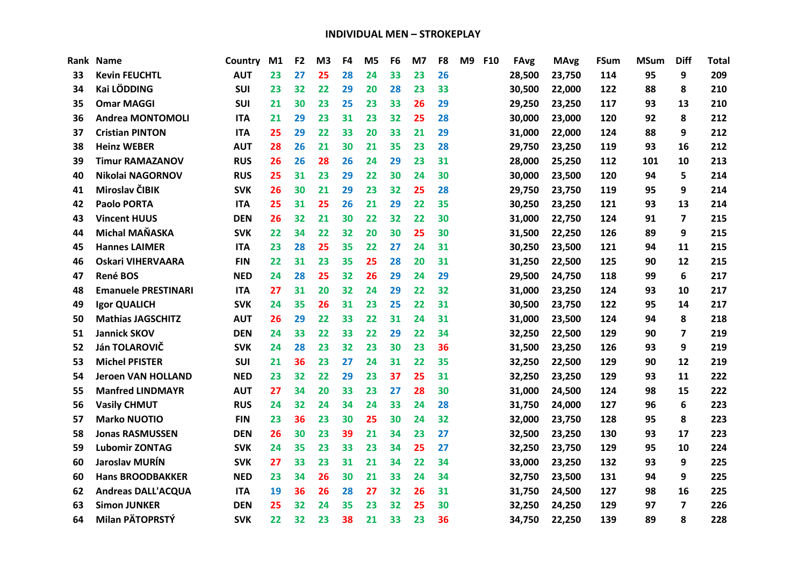| Rank | <b>Name</b>                | Country    | M1 | F <sub>2</sub> | M <sub>3</sub> | F4 | M <sub>5</sub> | F <sub>6</sub> | M7 | F <sub>8</sub> | <b>M9</b> | <b>F10</b> | <b>FAvg</b> | <b>MAvg</b> | FSum | <b>MSum</b> | <b>Diff</b>             | <b>Total</b> |
|------|----------------------------|------------|----|----------------|----------------|----|----------------|----------------|----|----------------|-----------|------------|-------------|-------------|------|-------------|-------------------------|--------------|
| 33   | <b>Kevin FEUCHTL</b>       | <b>AUT</b> | 23 | 27             | 25             | 28 | 24             | 33             | 23 | 26             |           |            | 28,500      | 23,750      | 114  | 95          | 9                       | 209          |
| 34   | <b>Kai LÖDDING</b>         | <b>SUI</b> | 23 | 32             | 22             | 29 | 20             | 28             | 23 | 33             |           |            | 30,500      | 22,000      | 122  | 88          | 8                       | 210          |
| 35   | <b>Omar MAGGI</b>          | <b>SUI</b> | 21 | 30             | 23             | 25 | 23             | 33             | 26 | 29             |           |            | 29,250      | 23,250      | 117  | 93          | 13                      | 210          |
| 36   | <b>Andrea MONTOMOLI</b>    | <b>ITA</b> | 21 | 29             | 23             | 31 | 23             | 32             | 25 | 28             |           |            | 30,000      | 23,000      | 120  | 92          | 8                       | 212          |
| 37   | <b>Cristian PINTON</b>     | <b>ITA</b> | 25 | 29             | 22             | 33 | 20             | 33             | 21 | 29             |           |            | 31,000      | 22,000      | 124  | 88          | 9                       | 212          |
| 38   | <b>Heinz WEBER</b>         | <b>AUT</b> | 28 | 26             | 21             | 30 | 21             | 35             | 23 | 28             |           |            | 29,750      | 23,250      | 119  | 93          | 16                      | 212          |
| 39   | <b>Timur RAMAZANOV</b>     | <b>RUS</b> | 26 | 26             | 28             | 26 | 24             | 29             | 23 | 31             |           |            | 28,000      | 25,250      | 112  | 101         | 10                      | 213          |
| 40   | Nikolai NAGORNOV           | <b>RUS</b> | 25 | 31             | 23             | 29 | 22             | 30             | 24 | 30             |           |            | 30,000      | 23,500      | 120  | 94          | 5                       | 214          |
| 41   | Miroslav ČIBIK             | <b>SVK</b> | 26 | 30             | 21             | 29 | 23             | 32             | 25 | 28             |           |            | 29,750      | 23,750      | 119  | 95          | 9                       | 214          |
| 42   | <b>Paolo PORTA</b>         | <b>ITA</b> | 25 | 31             | 25             | 26 | 21             | 29             | 22 | 35             |           |            | 30,250      | 23,250      | 121  | 93          | 13                      | 214          |
| 43   | <b>Vincent HUUS</b>        | <b>DEN</b> | 26 | 32             | 21             | 30 | 22             | 32             | 22 | 30             |           |            | 31,000      | 22,750      | 124  | 91          | $\overline{\mathbf{z}}$ | 215          |
| 44   | <b>Michal MAŇASKA</b>      | <b>SVK</b> | 22 | 34             | 22             | 32 | 20             | 30             | 25 | 30             |           |            | 31,500      | 22,250      | 126  | 89          | 9                       | 215          |
| 45   | <b>Hannes LAIMER</b>       | <b>ITA</b> | 23 | 28             | 25             | 35 | 22             | 27             | 24 | 31             |           |            | 30,250      | 23,500      | 121  | 94          | 11                      | 215          |
| 46   | <b>Oskari VIHERVAARA</b>   | <b>FIN</b> | 22 | 31             | 23             | 35 | 25             | 28             | 20 | 31             |           |            | 31,250      | 22,500      | 125  | 90          | 12                      | 215          |
| 47   | <b>René BOS</b>            | <b>NED</b> | 24 | 28             | 25             | 32 | 26             | 29             | 24 | 29             |           |            | 29,500      | 24,750      | 118  | 99          | 6                       | 217          |
| 48   | <b>Emanuele PRESTINARI</b> | <b>ITA</b> | 27 | 31             | 20             | 32 | 24             | 29             | 22 | 32             |           |            | 31,000      | 23,250      | 124  | 93          | 10                      | 217          |
| 49   | <b>Igor QUALICH</b>        | <b>SVK</b> | 24 | 35             | 26             | 31 | 23             | 25             | 22 | 31             |           |            | 30,500      | 23,750      | 122  | 95          | 14                      | 217          |
| 50   | <b>Mathias JAGSCHITZ</b>   | <b>AUT</b> | 26 | 29             | 22             | 33 | 22             | 31             | 24 | 31             |           |            | 31,000      | 23,500      | 124  | 94          | 8                       | 218          |
| 51   | <b>Jannick SKOV</b>        | <b>DEN</b> | 24 | 33             | 22             | 33 | 22             | 29             | 22 | 34             |           |            | 32,250      | 22,500      | 129  | 90          | 7                       | 219          |
| 52   | Ján TOLAROVIČ              | <b>SVK</b> | 24 | 28             | 23             | 32 | 23             | 30             | 23 | 36             |           |            | 31,500      | 23,250      | 126  | 93          | 9                       | 219          |
| 53   | <b>Michel PFISTER</b>      | <b>SUI</b> | 21 | 36             | 23             | 27 | 24             | 31             | 22 | 35             |           |            | 32,250      | 22,500      | 129  | 90          | 12                      | 219          |
| 54   | <b>Jeroen VAN HOLLAND</b>  | <b>NED</b> | 23 | 32             | 22             | 29 | 23             | 37             | 25 | 31             |           |            | 32,250      | 23,250      | 129  | 93          | 11                      | 222          |
| 55   | <b>Manfred LINDMAYR</b>    | <b>AUT</b> | 27 | 34             | 20             | 33 | 23             | 27             | 28 | 30             |           |            | 31,000      | 24,500      | 124  | 98          | 15                      | 222          |
| 56   | <b>Vasily CHMUT</b>        | <b>RUS</b> | 24 | 32             | 24             | 34 | 24             | 33             | 24 | 28             |           |            | 31,750      | 24,000      | 127  | 96          | 6                       | 223          |
| 57   | <b>Marko NUOTIO</b>        | <b>FIN</b> | 23 | 36             | 23             | 30 | 25             | 30             | 24 | 32             |           |            | 32,000      | 23,750      | 128  | 95          | 8                       | 223          |
| 58   | <b>Jonas RASMUSSEN</b>     | <b>DEN</b> | 26 | 30             | 23             | 39 | 21             | 34             | 23 | 27             |           |            | 32,500      | 23,250      | 130  | 93          | 17                      | 223          |
| 59   | <b>Lubomir ZONTAG</b>      | <b>SVK</b> | 24 | 35             | 23             | 33 | 23             | 34             | 25 | 27             |           |            | 32,250      | 23,750      | 129  | 95          | 10                      | 224          |
| 60   | <b>Jaroslav MURÍN</b>      | <b>SVK</b> | 27 | 33             | 23             | 31 | 21             | 34             | 22 | 34             |           |            | 33,000      | 23,250      | 132  | 93          | 9                       | 225          |
| 60   | <b>Hans BROODBAKKER</b>    | <b>NED</b> | 23 | 34             | 26             | 30 | 21             | 33             | 24 | 34             |           |            | 32,750      | 23,500      | 131  | 94          | 9                       | 225          |
| 62   | <b>Andreas DALL'ACQUA</b>  | <b>ITA</b> | 19 | 36             | 26             | 28 | 27             | 32             | 26 | 31             |           |            | 31,750      | 24,500      | 127  | 98          | 16                      | 225          |
| 63   | <b>Simon JUNKER</b>        | <b>DEN</b> | 25 | 32             | 24             | 35 | 23             | 32             | 25 | 30             |           |            | 32,250      | 24,250      | 129  | 97          | $\overline{\mathbf{z}}$ | 226          |
| 64   | Milan PÄTOPRSTÝ            | <b>SVK</b> | 22 | 32             | 23             | 38 | 21             | 33             | 23 | 36             |           |            | 34,750      | 22,250      | 139  | 89          | 8                       | 228          |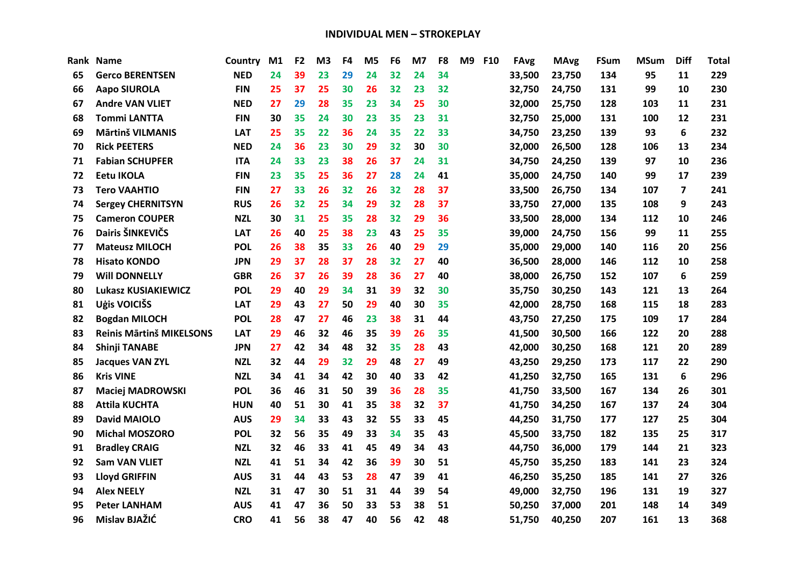| Rank | <b>Name</b>                | Country    | M1 | F <sub>2</sub> | M <sub>3</sub> | F4 | M <sub>5</sub> | F <sub>6</sub> | M7 | F <sub>8</sub> | <b>M9</b> | <b>F10</b> | FAvg   | <b>MAvg</b> | FSum | <b>MSum</b> | <b>Diff</b>    | <b>Total</b> |
|------|----------------------------|------------|----|----------------|----------------|----|----------------|----------------|----|----------------|-----------|------------|--------|-------------|------|-------------|----------------|--------------|
| 65   | <b>Gerco BERENTSEN</b>     | <b>NED</b> | 24 | 39             | 23             | 29 | 24             | 32             | 24 | 34             |           |            | 33,500 | 23,750      | 134  | 95          | 11             | 229          |
| 66   | <b>Aapo SIUROLA</b>        | <b>FIN</b> | 25 | 37             | 25             | 30 | 26             | 32             | 23 | 32             |           |            | 32,750 | 24,750      | 131  | 99          | 10             | 230          |
| 67   | <b>Andre VAN VLIET</b>     | <b>NED</b> | 27 | 29             | 28             | 35 | 23             | 34             | 25 | 30             |           |            | 32,000 | 25,750      | 128  | 103         | 11             | 231          |
| 68   | <b>Tommi LANTTA</b>        | <b>FIN</b> | 30 | 35             | 24             | 30 | 23             | 35             | 23 | 31             |           |            | 32,750 | 25,000      | 131  | 100         | 12             | 231          |
| 69   | <b>Mārtinš VILMANIS</b>    | <b>LAT</b> | 25 | 35             | 22             | 36 | 24             | 35             | 22 | 33             |           |            | 34,750 | 23,250      | 139  | 93          | 6              | 232          |
| 70   | <b>Rick PEETERS</b>        | <b>NED</b> | 24 | 36             | 23             | 30 | 29             | 32             | 30 | 30             |           |            | 32,000 | 26,500      | 128  | 106         | 13             | 234          |
| 71   | <b>Fabian SCHUPFER</b>     | <b>ITA</b> | 24 | 33             | 23             | 38 | 26             | 37             | 24 | 31             |           |            | 34,750 | 24,250      | 139  | 97          | 10             | 236          |
| 72   | <b>Eetu IKOLA</b>          | <b>FIN</b> | 23 | 35             | 25             | 36 | 27             | 28             | 24 | 41             |           |            | 35,000 | 24,750      | 140  | 99          | 17             | 239          |
| 73   | <b>Tero VAAHTIO</b>        | <b>FIN</b> | 27 | 33             | 26             | 32 | 26             | 32             | 28 | 37             |           |            | 33,500 | 26,750      | 134  | 107         | $\overline{7}$ | 241          |
| 74   | <b>Sergey CHERNITSYN</b>   | <b>RUS</b> | 26 | 32             | 25             | 34 | 29             | 32             | 28 | 37             |           |            | 33,750 | 27,000      | 135  | 108         | 9              | 243          |
| 75   | <b>Cameron COUPER</b>      | <b>NZL</b> | 30 | 31             | 25             | 35 | 28             | 32             | 29 | 36             |           |            | 33,500 | 28,000      | 134  | 112         | 10             | 246          |
| 76   | Dairis ŠINKEVIČS           | <b>LAT</b> | 26 | 40             | 25             | 38 | 23             | 43             | 25 | 35             |           |            | 39,000 | 24,750      | 156  | 99          | 11             | 255          |
| 77   | <b>Mateusz MILOCH</b>      | <b>POL</b> | 26 | 38             | 35             | 33 | 26             | 40             | 29 | 29             |           |            | 35,000 | 29,000      | 140  | 116         | 20             | 256          |
| 78   | <b>Hisato KONDO</b>        | <b>JPN</b> | 29 | 37             | 28             | 37 | 28             | 32             | 27 | 40             |           |            | 36,500 | 28,000      | 146  | 112         | 10             | 258          |
| 79   | <b>Will DONNELLY</b>       | <b>GBR</b> | 26 | 37             | 26             | 39 | 28             | 36             | 27 | 40             |           |            | 38,000 | 26,750      | 152  | 107         | 6              | 259          |
| 80   | <b>Lukasz KUSIAKIEWICZ</b> | <b>POL</b> | 29 | 40             | 29             | 34 | 31             | 39             | 32 | 30             |           |            | 35,750 | 30,250      | 143  | 121         | 13             | 264          |
| 81   | Uģis VOICIŠS               | <b>LAT</b> | 29 | 43             | 27             | 50 | 29             | 40             | 30 | 35             |           |            | 42,000 | 28,750      | 168  | 115         | 18             | 283          |
| 82   | <b>Bogdan MILOCH</b>       | <b>POL</b> | 28 | 47             | 27             | 46 | 23             | 38             | 31 | 44             |           |            | 43,750 | 27,250      | 175  | 109         | 17             | 284          |
| 83   | Reinis Mārtinš MIKELSONS   | <b>LAT</b> | 29 | 46             | 32             | 46 | 35             | 39             | 26 | 35             |           |            | 41,500 | 30,500      | 166  | 122         | 20             | 288          |
| 84   | <b>Shinji TANABE</b>       | <b>JPN</b> | 27 | 42             | 34             | 48 | 32             | 35             | 28 | 43             |           |            | 42,000 | 30,250      | 168  | 121         | 20             | 289          |
| 85   | <b>Jacques VAN ZYL</b>     | <b>NZL</b> | 32 | 44             | 29             | 32 | 29             | 48             | 27 | 49             |           |            | 43,250 | 29,250      | 173  | 117         | 22             | 290          |
| 86   | <b>Kris VINE</b>           | <b>NZL</b> | 34 | 41             | 34             | 42 | 30             | 40             | 33 | 42             |           |            | 41,250 | 32,750      | 165  | 131         | 6              | 296          |
| 87   | <b>Maciej MADROWSKI</b>    | <b>POL</b> | 36 | 46             | 31             | 50 | 39             | 36             | 28 | 35             |           |            | 41,750 | 33,500      | 167  | 134         | 26             | 301          |
| 88   | <b>Attila KUCHTA</b>       | <b>HUN</b> | 40 | 51             | 30             | 41 | 35             | 38             | 32 | 37             |           |            | 41,750 | 34,250      | 167  | 137         | 24             | 304          |
| 89   | <b>David MAIOLO</b>        | <b>AUS</b> | 29 | 34             | 33             | 43 | 32             | 55             | 33 | 45             |           |            | 44,250 | 31,750      | 177  | 127         | 25             | 304          |
| 90   | <b>Michal MOSZORO</b>      | <b>POL</b> | 32 | 56             | 35             | 49 | 33             | 34             | 35 | 43             |           |            | 45,500 | 33,750      | 182  | 135         | 25             | 317          |
| 91   | <b>Bradley CRAIG</b>       | <b>NZL</b> | 32 | 46             | 33             | 41 | 45             | 49             | 34 | 43             |           |            | 44,750 | 36,000      | 179  | 144         | 21             | 323          |
| 92   | <b>Sam VAN VLIET</b>       | <b>NZL</b> | 41 | 51             | 34             | 42 | 36             | 39             | 30 | 51             |           |            | 45,750 | 35,250      | 183  | 141         | 23             | 324          |
| 93   | <b>Lloyd GRIFFIN</b>       | <b>AUS</b> | 31 | 44             | 43             | 53 | 28             | 47             | 39 | 41             |           |            | 46,250 | 35,250      | 185  | 141         | 27             | 326          |
| 94   | <b>Alex NEELY</b>          | <b>NZL</b> | 31 | 47             | 30             | 51 | 31             | 44             | 39 | 54             |           |            | 49,000 | 32,750      | 196  | 131         | 19             | 327          |
| 95   | <b>Peter LANHAM</b>        | <b>AUS</b> | 41 | 47             | 36             | 50 | 33             | 53             | 38 | 51             |           |            | 50,250 | 37,000      | 201  | 148         | 14             | 349          |
| 96   | Mislav BJAŽIĆ              | <b>CRO</b> | 41 | 56             | 38             | 47 | 40             | 56             | 42 | 48             |           |            | 51,750 | 40,250      | 207  | 161         | 13             | 368          |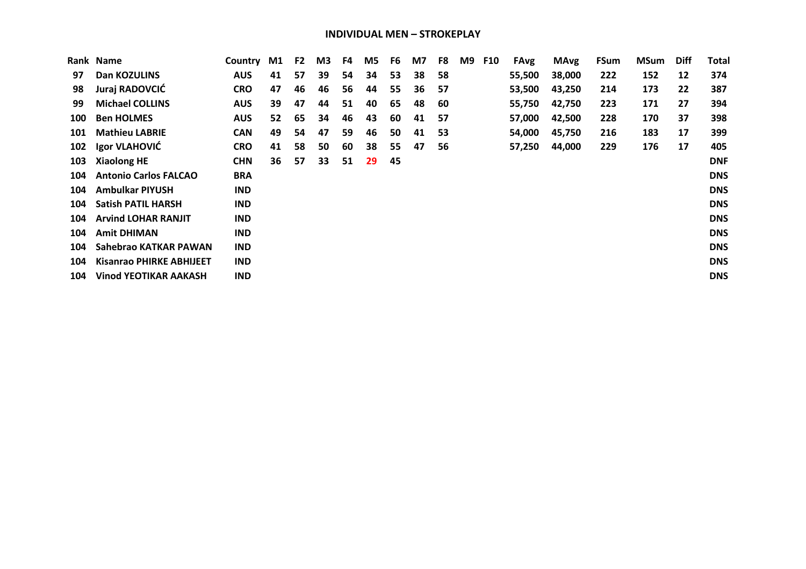| Rank | <b>Name</b>                     | Country    | M1 | F <sub>2</sub> | M3 | F4 | M5 | F6 | M7 | F8 | M9 | <b>F10</b> | <b>FAvg</b> | <b>MAvg</b> | <b>FSum</b> | <b>MSum</b> | <b>Diff</b> | Total      |
|------|---------------------------------|------------|----|----------------|----|----|----|----|----|----|----|------------|-------------|-------------|-------------|-------------|-------------|------------|
| 97   | Dan KOZULINS                    | <b>AUS</b> | 41 | 57             | 39 | 54 | 34 | 53 | 38 | 58 |    |            | 55,500      | 38,000      | 222         | 152         | 12          | 374        |
| 98   | Juraj RADOVCIĆ                  | <b>CRO</b> | 47 | 46             | 46 | 56 | 44 | 55 | 36 | 57 |    |            | 53,500      | 43,250      | 214         | 173         | 22          | 387        |
| 99   | <b>Michael COLLINS</b>          | <b>AUS</b> | 39 | 47             | 44 | 51 | 40 | 65 | 48 | 60 |    |            | 55,750      | 42,750      | 223         | 171         | 27          | 394        |
| 100  | <b>Ben HOLMES</b>               | <b>AUS</b> | 52 | 65             | 34 | 46 | 43 | 60 | 41 | 57 |    |            | 57,000      | 42,500      | 228         | 170         | 37          | 398        |
| 101  | <b>Mathieu LABRIE</b>           | <b>CAN</b> | 49 | 54             | 47 | 59 | 46 | 50 | 41 | 53 |    |            | 54,000      | 45,750      | 216         | 183         | 17          | 399        |
| 102  | Igor VLAHOVIĆ                   | <b>CRO</b> | 41 | 58             | 50 | 60 | 38 | 55 | 47 | 56 |    |            | 57,250      | 44,000      | 229         | 176         | 17          | 405        |
| 103  | <b>Xiaolong HE</b>              | <b>CHN</b> | 36 | 57             | 33 | 51 | 29 | 45 |    |    |    |            |             |             |             |             |             | <b>DNF</b> |
| 104  | <b>Antonio Carlos FALCAO</b>    | <b>BRA</b> |    |                |    |    |    |    |    |    |    |            |             |             |             |             |             | <b>DNS</b> |
| 104  | Ambulkar PIYUSH                 | <b>IND</b> |    |                |    |    |    |    |    |    |    |            |             |             |             |             |             | <b>DNS</b> |
| 104  | <b>Satish PATIL HARSH</b>       | <b>IND</b> |    |                |    |    |    |    |    |    |    |            |             |             |             |             |             | <b>DNS</b> |
| 104  | <b>Arvind LOHAR RANJIT</b>      | <b>IND</b> |    |                |    |    |    |    |    |    |    |            |             |             |             |             |             | <b>DNS</b> |
| 104  | <b>Amit DHIMAN</b>              | <b>IND</b> |    |                |    |    |    |    |    |    |    |            |             |             |             |             |             | <b>DNS</b> |
| 104  | Sahebrao KATKAR PAWAN           | <b>IND</b> |    |                |    |    |    |    |    |    |    |            |             |             |             |             |             | <b>DNS</b> |
| 104  | <b>Kisanrao PHIRKE ABHIJEET</b> | <b>IND</b> |    |                |    |    |    |    |    |    |    |            |             |             |             |             |             | <b>DNS</b> |
| 104  | <b>Vinod YEOTIKAR AAKASH</b>    | <b>IND</b> |    |                |    |    |    |    |    |    |    |            |             |             |             |             |             | <b>DNS</b> |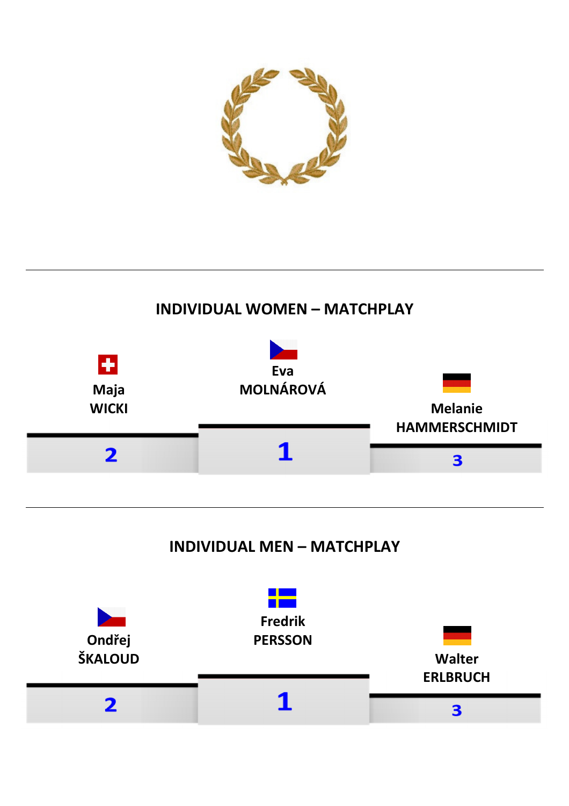

### **INDIVIDUAL WOMEN – MATCHPLAY**



## **INDIVIDUAL MEN – MATCHPLAY**

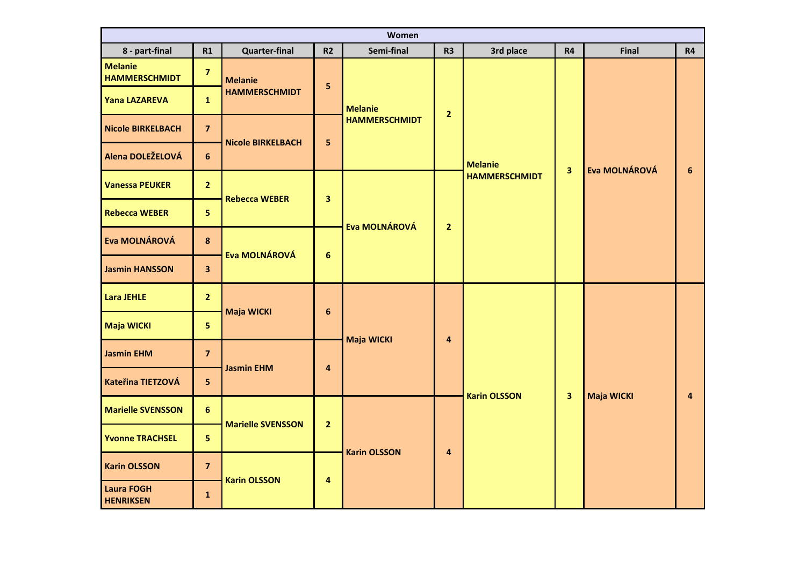| Women<br>Semi-final<br>8 - part-final<br>R1<br><b>Quarter-final</b><br>R <sub>2</sub><br>R <sub>3</sub><br>3rd place<br>R4<br>Final<br><b>R4</b> |                         |                          |                         |                      |                         |                      |                         |               |                |  |  |  |  |  |
|--------------------------------------------------------------------------------------------------------------------------------------------------|-------------------------|--------------------------|-------------------------|----------------------|-------------------------|----------------------|-------------------------|---------------|----------------|--|--|--|--|--|
|                                                                                                                                                  |                         |                          |                         |                      |                         |                      |                         |               |                |  |  |  |  |  |
| <b>Melanie</b><br><b>HAMMERSCHMIDT</b>                                                                                                           | $\overline{\mathbf{z}}$ | <b>Melanie</b>           | $\overline{\mathbf{5}}$ |                      |                         |                      |                         |               |                |  |  |  |  |  |
| <b>Yana LAZAREVA</b>                                                                                                                             | $\mathbf{1}$            | <b>HAMMERSCHMIDT</b>     |                         | <b>Melanie</b>       | $\overline{2}$          |                      |                         |               |                |  |  |  |  |  |
| <b>Nicole BIRKELBACH</b>                                                                                                                         | $\overline{\mathbf{z}}$ | <b>Nicole BIRKELBACH</b> | 5                       | <b>HAMMERSCHMIDT</b> |                         |                      |                         |               |                |  |  |  |  |  |
| Alena DOLEŽELOVÁ                                                                                                                                 | 6                       |                          |                         |                      |                         | <b>Melanie</b>       | $\overline{\mathbf{3}}$ | Eva MOLNÁROVÁ | $6\phantom{a}$ |  |  |  |  |  |
| <b>Vanessa PEUKER</b>                                                                                                                            | $\overline{2}$          | <b>Rebecca WEBER</b>     | $\overline{\mathbf{3}}$ |                      |                         | <b>HAMMERSCHMIDT</b> |                         |               |                |  |  |  |  |  |
| <b>Rebecca WEBER</b>                                                                                                                             | $5\phantom{a}$          |                          |                         | Eva MOLNÁROVÁ        | $\overline{2}$          |                      |                         |               |                |  |  |  |  |  |
| Eva MOLNÁROVÁ                                                                                                                                    | $\boldsymbol{8}$        | Eva MOLNÁROVÁ            | $6\phantom{a}$          |                      |                         |                      |                         |               |                |  |  |  |  |  |
| <b>Jasmin HANSSON</b>                                                                                                                            | $\overline{\mathbf{3}}$ |                          |                         |                      |                         |                      |                         |               |                |  |  |  |  |  |
| <b>Lara JEHLE</b>                                                                                                                                | $\overline{2}$          | <b>Maja WICKI</b>        | $6\phantom{a}$          |                      |                         |                      |                         |               |                |  |  |  |  |  |
| Maja WICKI                                                                                                                                       | 5 <sub>1</sub>          |                          |                         | <b>Maja WICKI</b>    | $\overline{\mathbf{4}}$ |                      |                         |               |                |  |  |  |  |  |
| <b>Jasmin EHM</b>                                                                                                                                | $\overline{7}$          | <b>Jasmin EHM</b>        | $\overline{\mathbf{4}}$ |                      |                         |                      |                         |               |                |  |  |  |  |  |
| Kateřina TIETZOVÁ                                                                                                                                | $5\phantom{a}$          |                          |                         |                      |                         | <b>Karin OLSSON</b>  | $\overline{\mathbf{3}}$ | Maja WICKI    | 4              |  |  |  |  |  |
| <b>Marielle SVENSSON</b>                                                                                                                         | $6\phantom{a}$          | <b>Marielle SVENSSON</b> | $\overline{2}$          |                      |                         |                      |                         |               |                |  |  |  |  |  |
| <b>Yvonne TRACHSEL</b>                                                                                                                           | 5 <sub>5</sub>          |                          |                         | <b>Karin OLSSON</b>  | $\overline{\mathbf{4}}$ |                      |                         |               |                |  |  |  |  |  |
| <b>Karin OLSSON</b>                                                                                                                              | $\overline{\mathbf{z}}$ | <b>Karin OLSSON</b>      |                         |                      |                         |                      |                         |               |                |  |  |  |  |  |
| <b>Laura FOGH</b><br><b>HENRIKSEN</b>                                                                                                            | $\mathbf{1}$            |                          | 4                       |                      |                         |                      |                         |               |                |  |  |  |  |  |